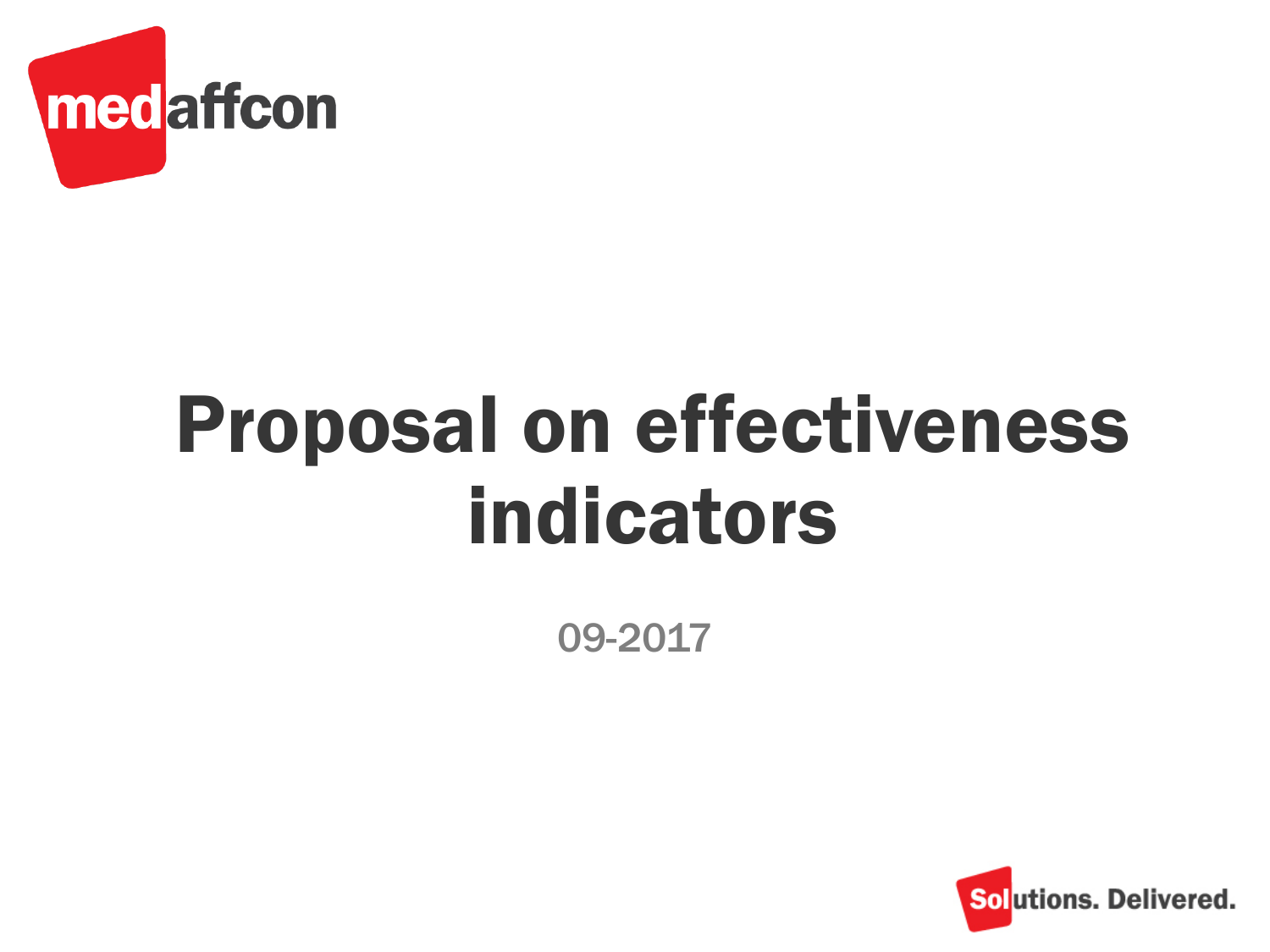

## Proposal on effectiveness indicators

09-2017

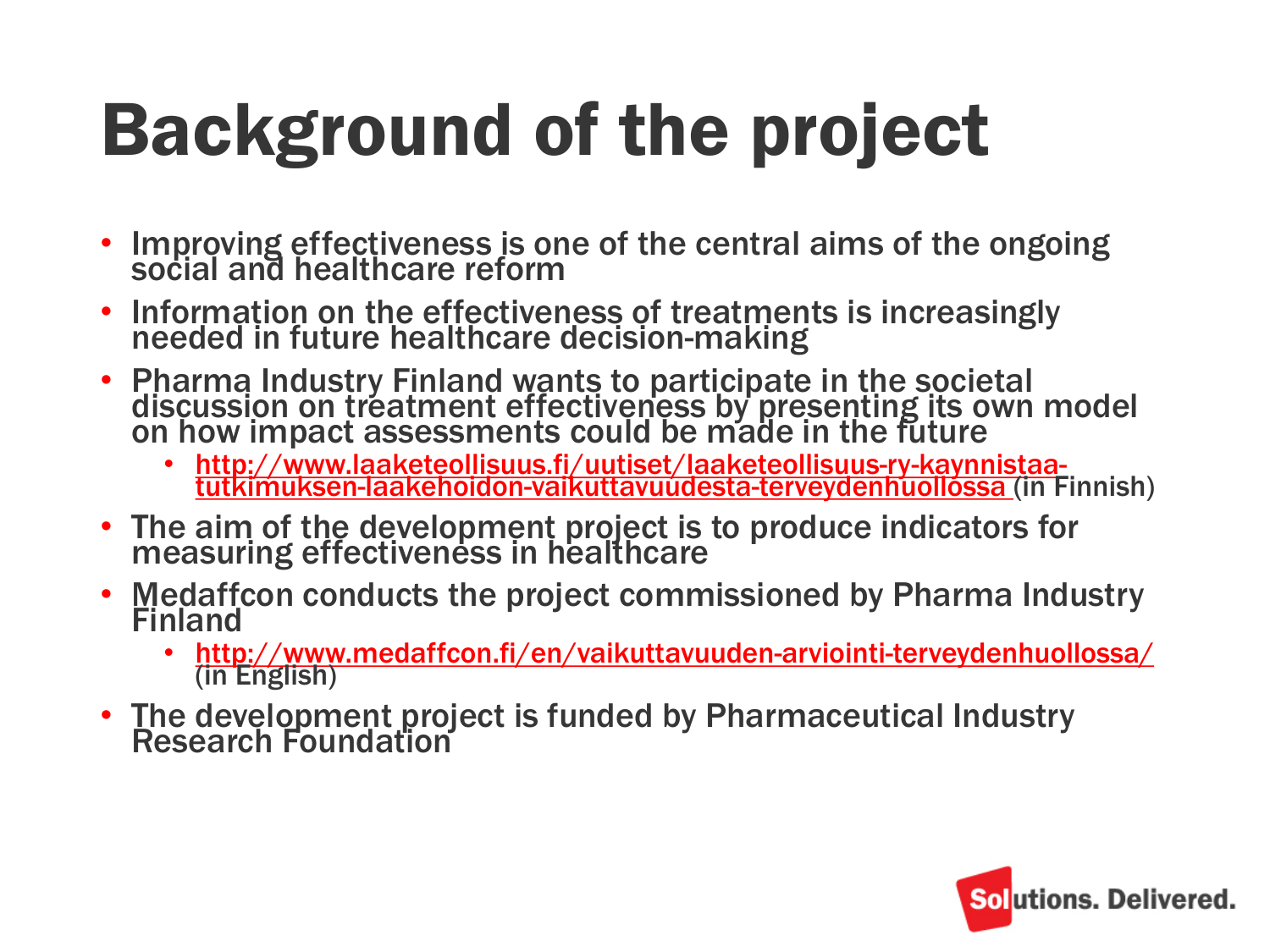# Background of the project

- Improving effectiveness is one of the central aims of the ongoing social and healthcare reform
- Information on the effectiveness of treatments is increasingly needed in future healthcare decision-making
- Pharma Industry Finland wants to participate in the societal discussion on treatment effectiveness by presenting its own model on how impact assessments could be made in the future
	- http://www.laaketeollisuus.fi/uutiset/laaketeollisuus-ry-kaynnistaa[tutkimuksen-laakehoidon-vaikuttavuudesta-terveydenhuollossa \(in F](http://www.laaketeollisuus.fi/uutiset/laaketeollisuus-ry-kaynnistaa-tutkimuksen-laakehoidon-vaikuttavuudesta-terveydenhuollossa)innish)
- The aim of the development project is to produce indicators for measuring effectiveness in healthcare
- Medaffcon conducts the project commissioned by Pharma Industry **Finland** 
	- <http://www.medaffcon.fi/en/vaikuttavuuden-arviointi-terveydenhuollossa/> (in English)
- The development project is funded by Pharmaceutical Industry Research Foundation

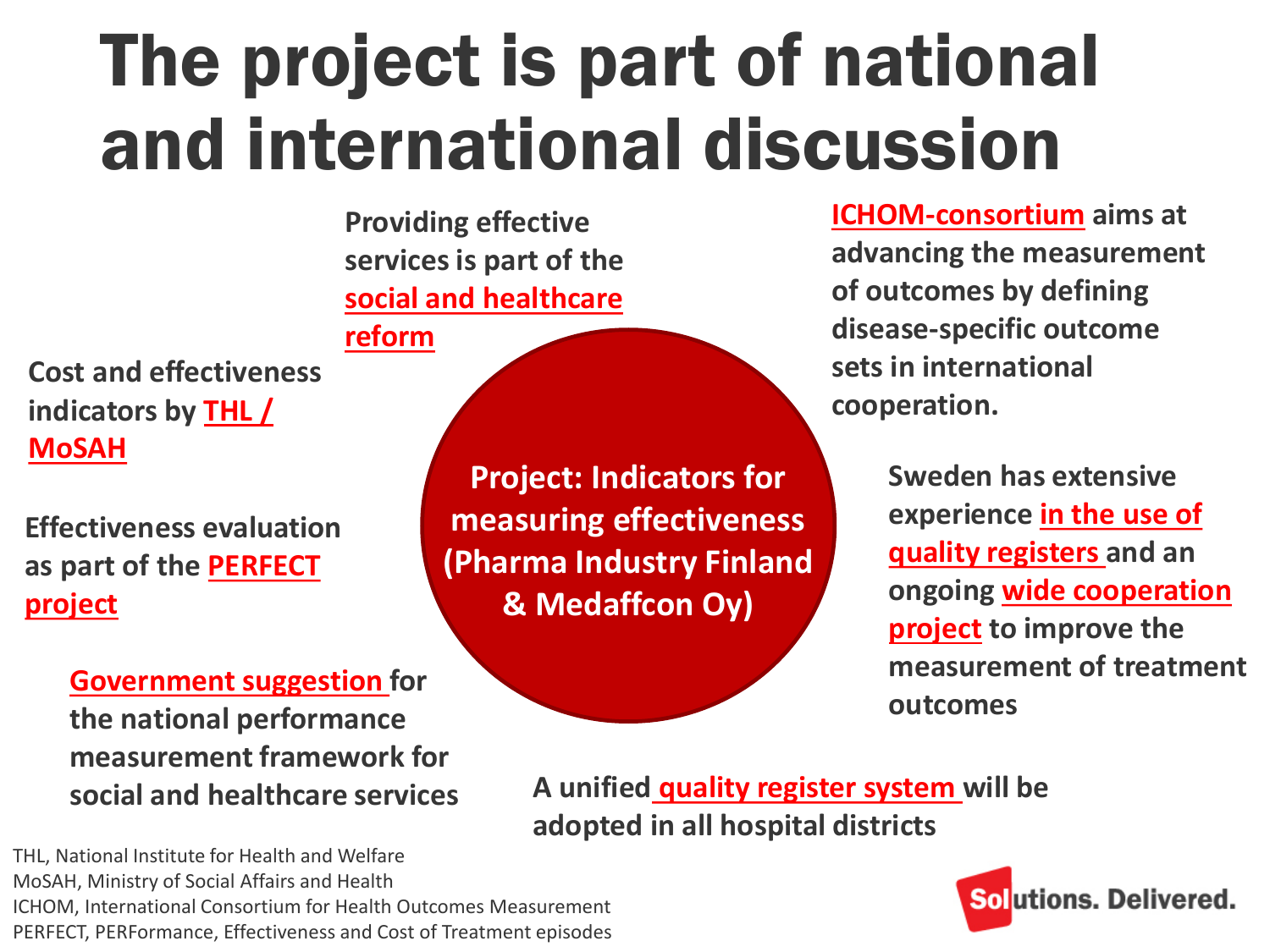### The project is part of national and international discussion

**Providing effective services is part of the [social and healthcare](http://alueuudistus.fi/en/frontpage)** 

**reform**

**Cost and effectiveness [indicators by THL /](https://www.thl.fi/fi/tutkimus-ja-asiantuntijatyo/hankkeet-ja-ohjelmat/sote-tietopohjan-kehittamishanke/kansallisen-mittariston-valmistelu-kuva-indikaattorit-) MoSAH**

**Effectiveness evaluation [as part of the PERFECT](https://www.thl.fi/en/web/thlfi-en/research-and-expertwork/projects-and-programmes/perfect-performance-effectiveness-and-cost-of-treatment-episodes)  project**

> **[Government suggestion f](http://tietokayttoon.fi/julkaisu?pubid=18701)or the national performance measurement framework for social and healthcare services**

THL, National Institute for Health and Welfare MoSAH, Ministry of Social Affairs and Health ICHOM, International Consortium for Health Outcomes Measurement PERFECT, PERFormance, Effectiveness and Cost of Treatment episodes

**Project: Indicators for measuring effectiveness (Pharma Industry Finland & Medaffcon Oy)**

**[ICHOM-consortium](http://www.ichom.org/) aims at advancing the measurement of outcomes by defining disease-specific outcome sets in international cooperation.**

> **Sweden has extensive [experience in the use of](http://kvalitetsregister.se/index.html)  quality registers and an [ongoing wide cooperation](http://www.sveus.se/)  project to improve the measurement of treatment outcomes**

**A unified [quality register system w](http://www.bcbmedical.com/2017/01/25/bcbs-system-chosen-for-comparative-study-of-hospital-quality/?lang=en)ill be adopted in all hospital districts**

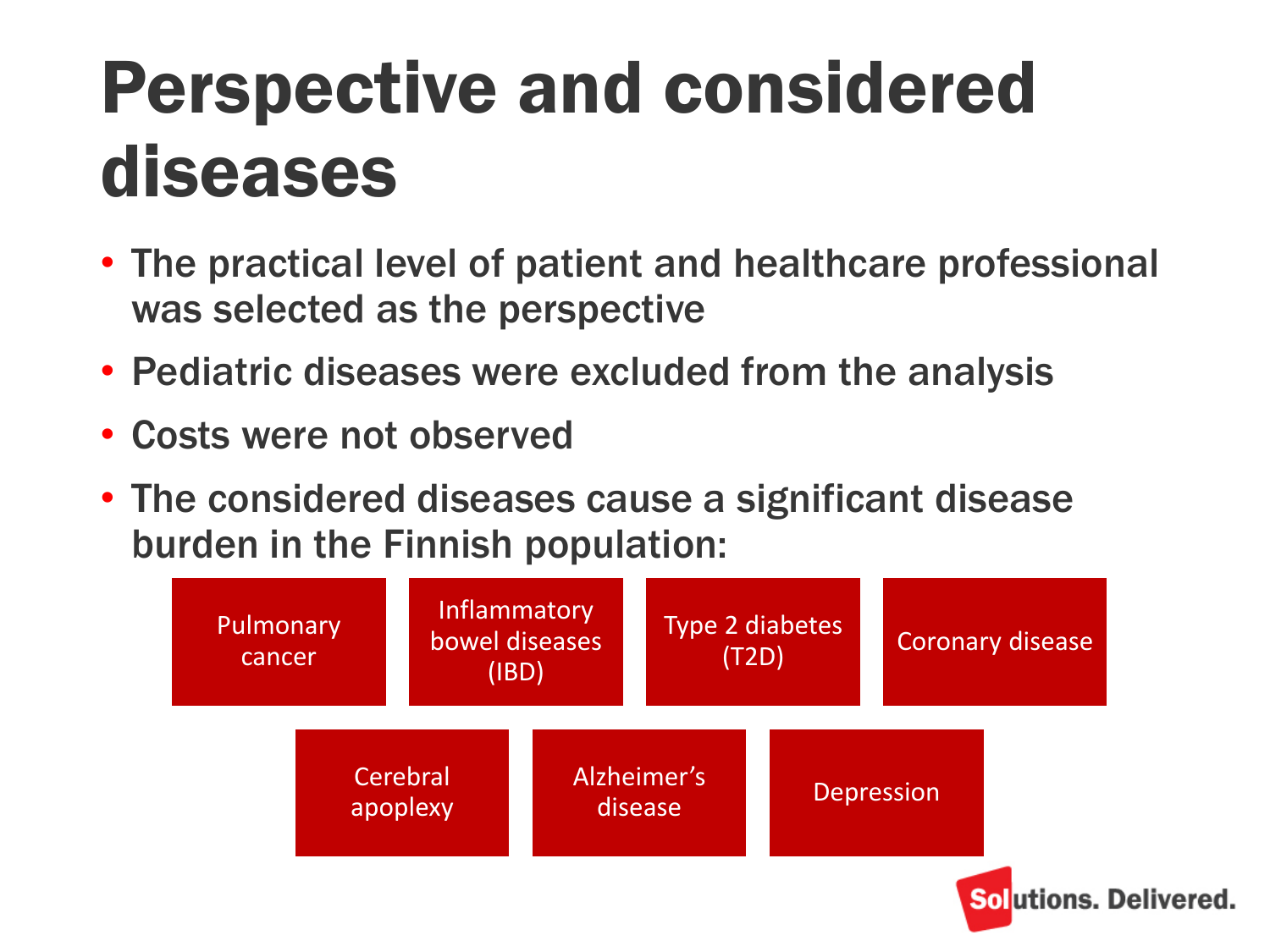### Perspective and considered diseases

- The practical level of patient and healthcare professional was selected as the perspective
- Pediatric diseases were excluded from the analysis
- Costs were not observed
- The considered diseases cause a significant disease burden in the Finnish population:

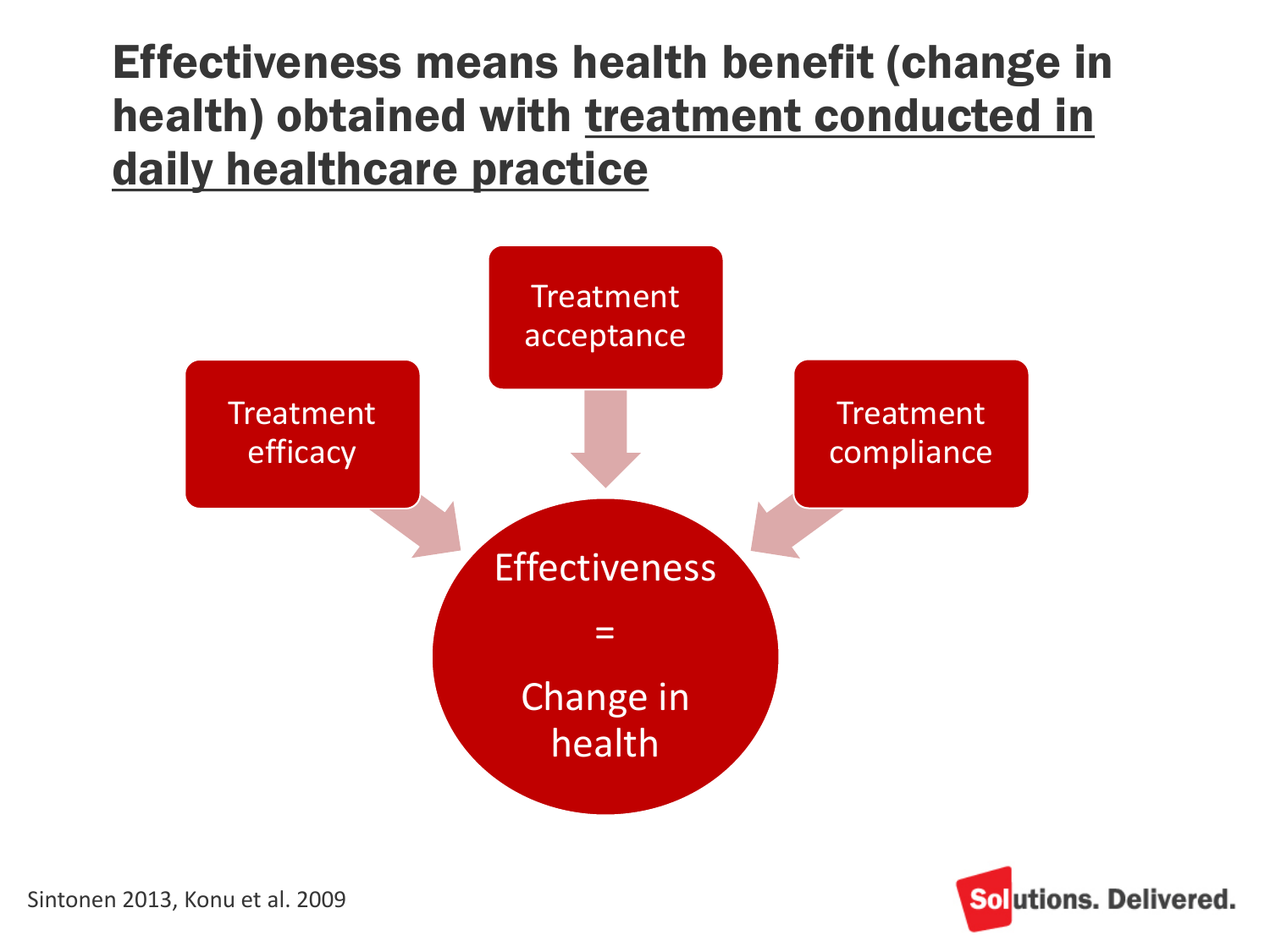#### Effectiveness means health benefit (change in health) obtained with treatment conducted in daily healthcare practice



![](_page_4_Picture_2.jpeg)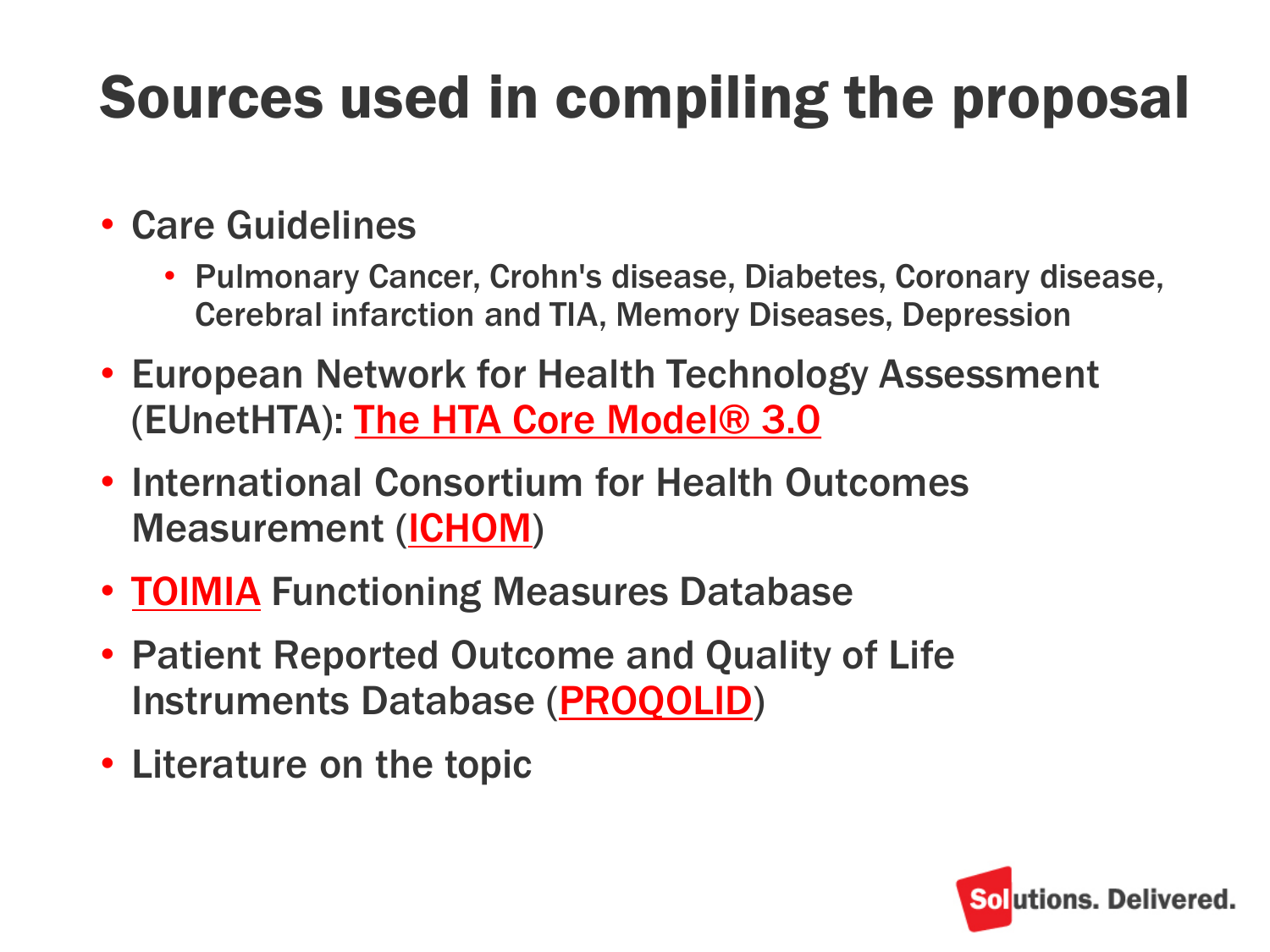### Sources used in compiling the proposal

- Care Guidelines
	- Pulmonary Cancer, Crohn's disease, Diabetes, Coronary disease, Cerebral infarction and TIA, Memory Diseases, Depression
- European Network for Health Technology Assessment (EUnetHTA): [The HTA Core Model® 3.0](http://www.eunethta.eu/hta-core-model)
- International Consortium for Health Outcomes Measurement [\(ICHOM\)](http://www.ichom.org/)
- **[TOIMIA](https://www.thl.fi/fi/web/functioning/toimia-functioning-measures-database)** Functioning Measures Database
- Patient Reported Outcome and Quality of Life Instruments Database ([PROQOLID\)](https://eprovide.mapi-trust.org/about/about-proqolid)
- Literature on the topic

![](_page_5_Picture_8.jpeg)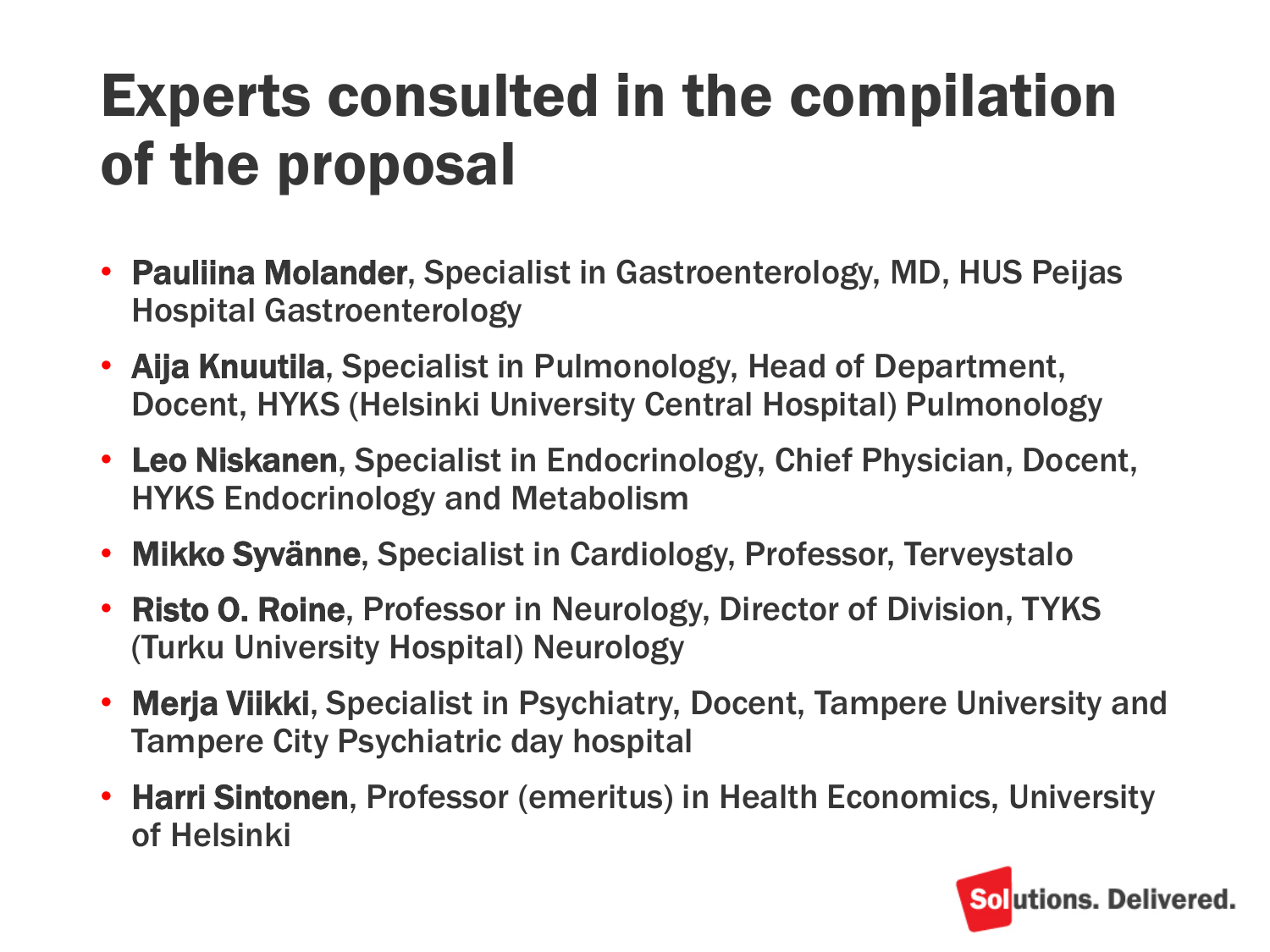#### Experts consulted in the compilation of the proposal

- Pauliina Molander, Specialist in Gastroenterology, MD, HUS Peijas Hospital Gastroenterology
- Aija Knuutila, Specialist in Pulmonology, Head of Department, Docent, HYKS (Helsinki University Central Hospital) Pulmonology
- Leo Niskanen, Specialist in Endocrinology, Chief Physician, Docent, HYKS Endocrinology and Metabolism
- Mikko Syvänne, Specialist in Cardiology, Professor, Terveystalo
- Risto O. Roine, Professor in Neurology, Director of Division, TYKS (Turku University Hospital) Neurology
- Merja Viikki, Specialist in Psychiatry, Docent, Tampere University and Tampere City Psychiatric day hospital
- Harri Sintonen, Professor (emeritus) in Health Economics, University of Helsinki

![](_page_6_Picture_8.jpeg)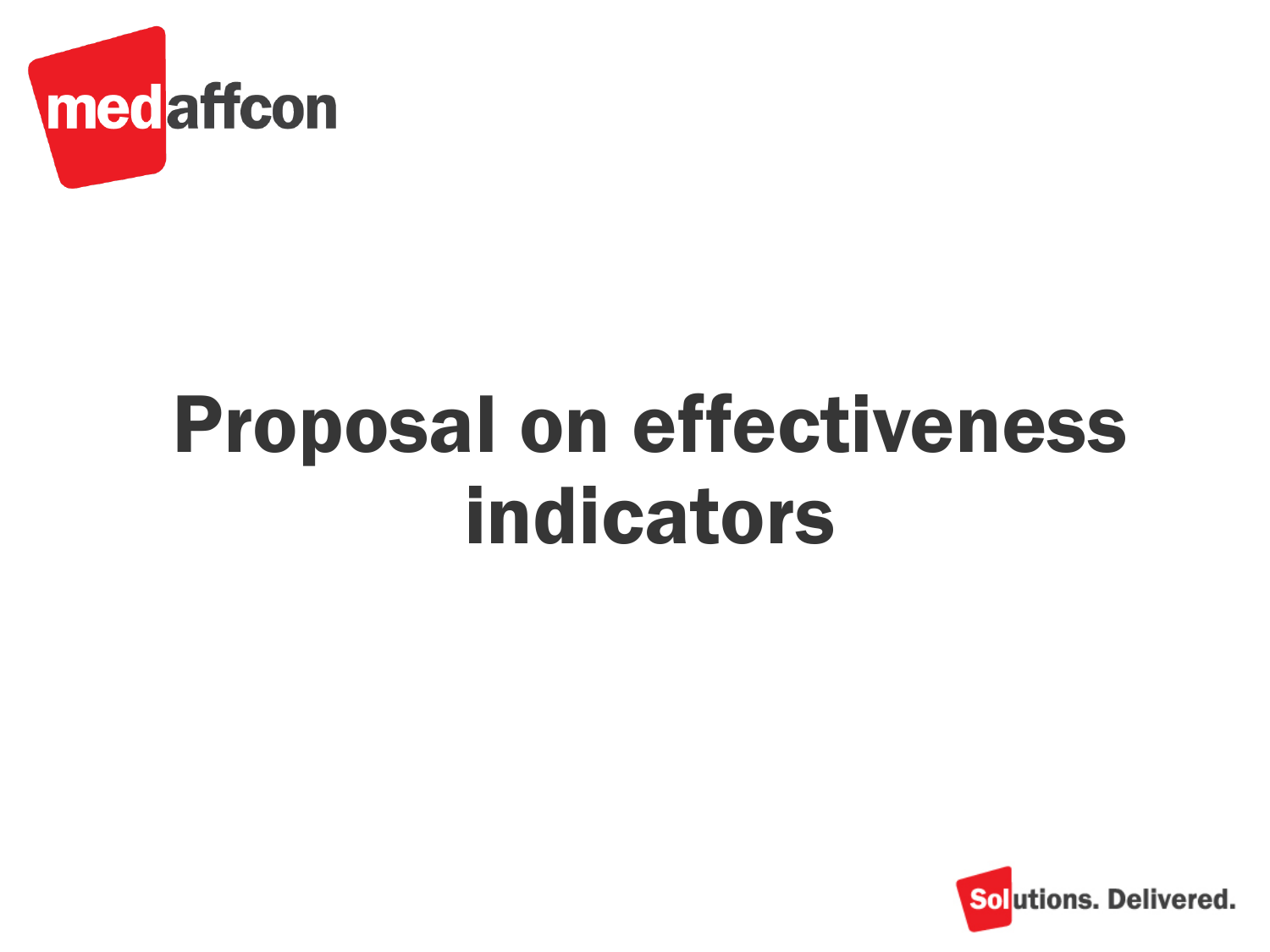![](_page_7_Picture_0.jpeg)

## Proposal on effectiveness indicators

![](_page_7_Picture_2.jpeg)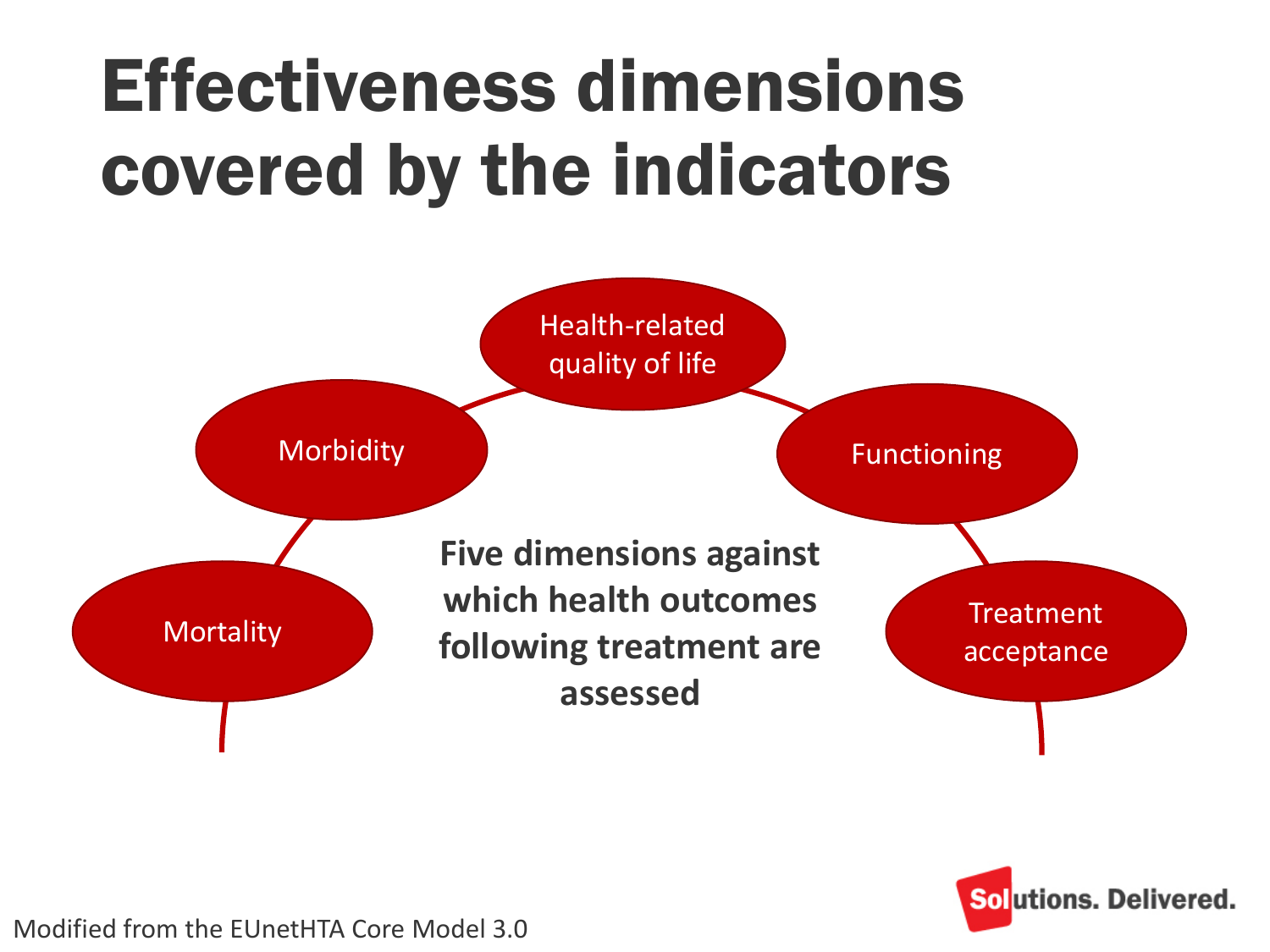### Effectiveness dimensions covered by the indicators

![](_page_8_Figure_1.jpeg)

![](_page_8_Picture_2.jpeg)

Modified from the EUnetHTA Core Model 3.0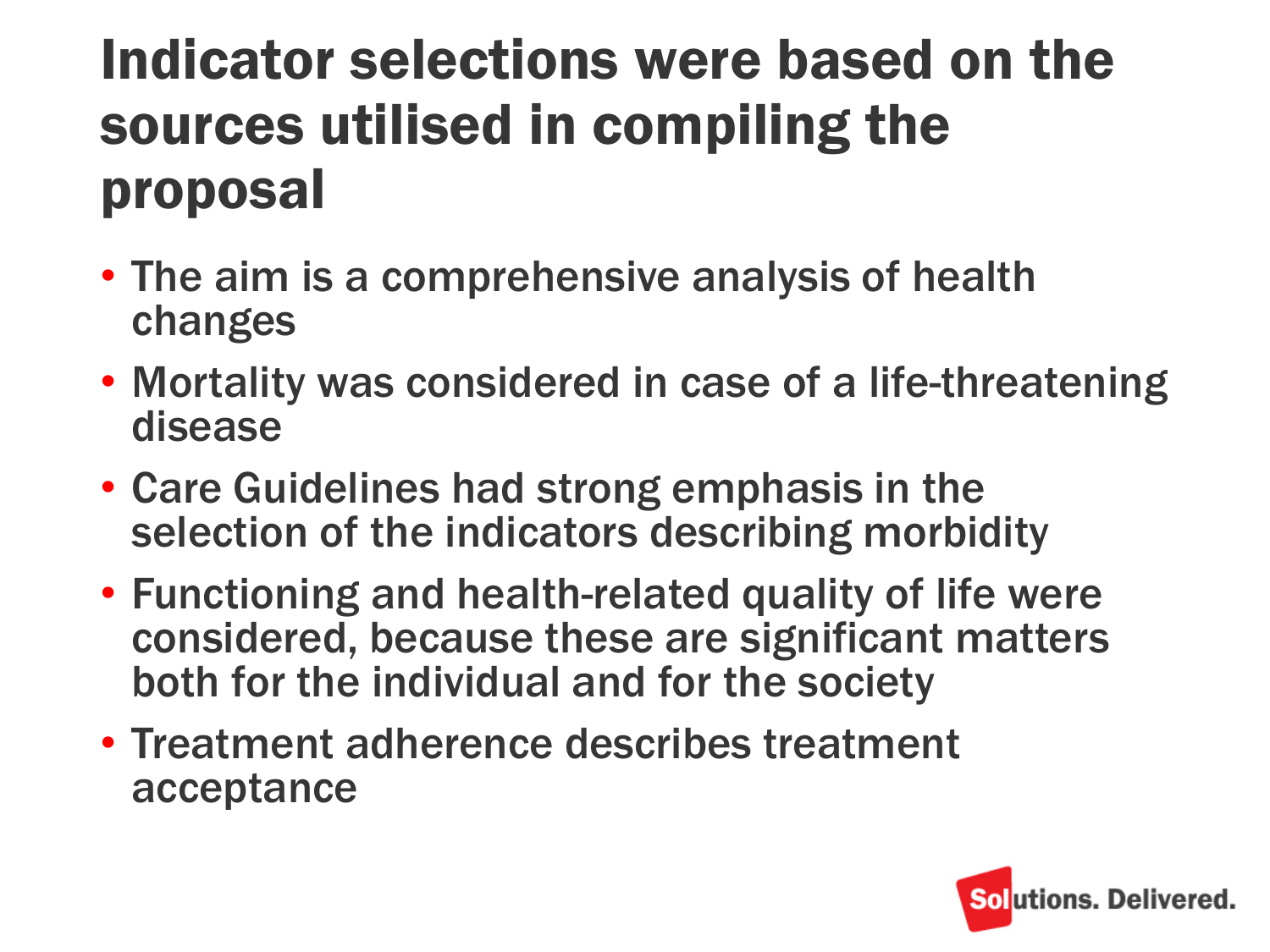#### Indicator selections were based on the sources utilised in compiling the proposal

- The aim is a comprehensive analysis of health changes
- Mortality was considered in case of a life-threatening disease
- Care Guidelines had strong emphasis in the selection of the indicators describing morbidity
- Functioning and health-related quality of life were considered, because these are significant matters both for the individual and for the society
- Treatment adherence describes treatment acceptance

![](_page_9_Picture_6.jpeg)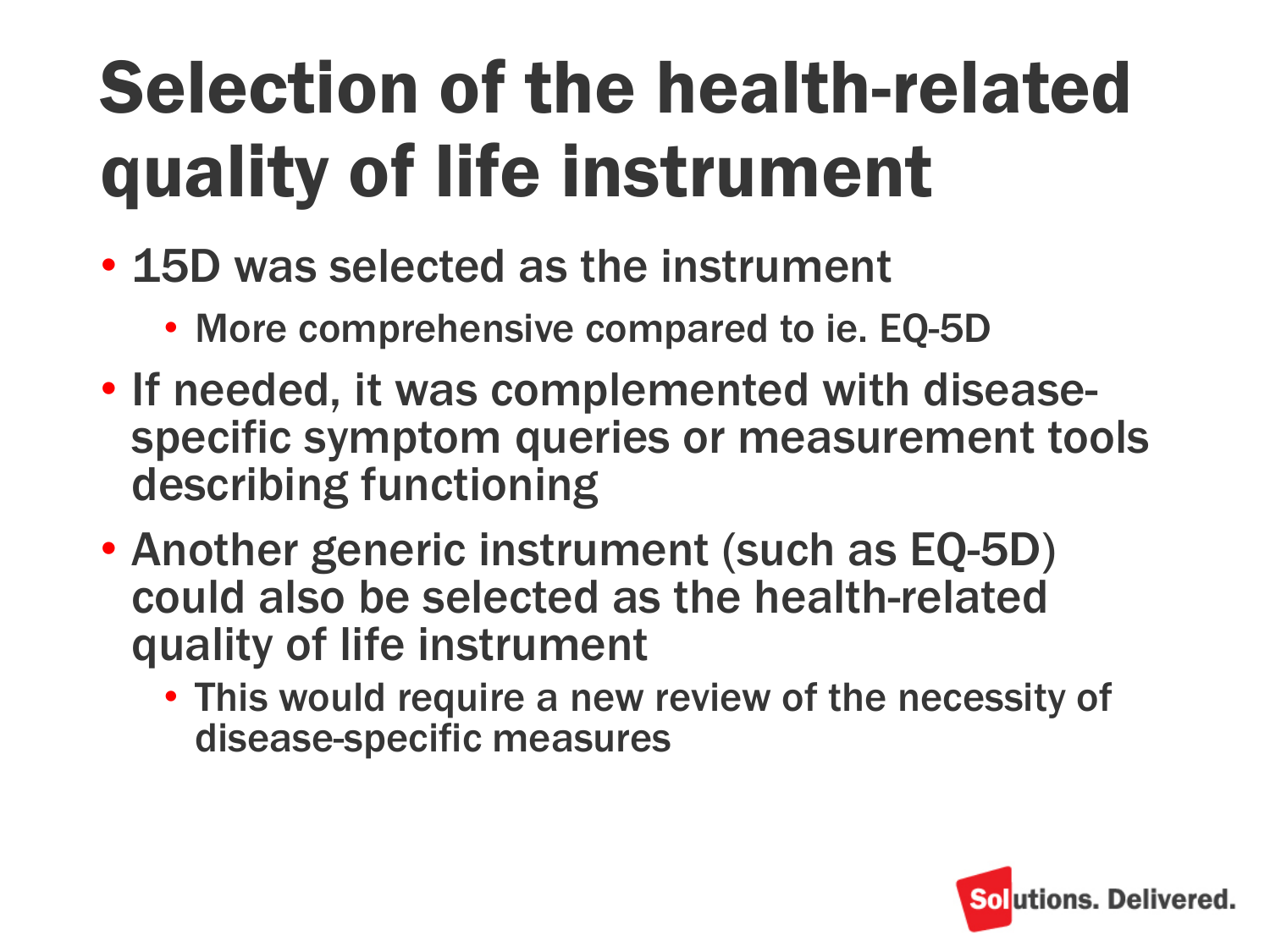## Selection of the health-related quality of life instrument

- 15D was selected as the instrument
	- More comprehensive compared to ie. EQ-5D
- If needed, it was complemented with diseasespecific symptom queries or measurement tools describing functioning
- Another generic instrument (such as EQ-5D) could also be selected as the health-related quality of life instrument
	- This would require a new review of the necessity of disease-specific measures

![](_page_10_Picture_6.jpeg)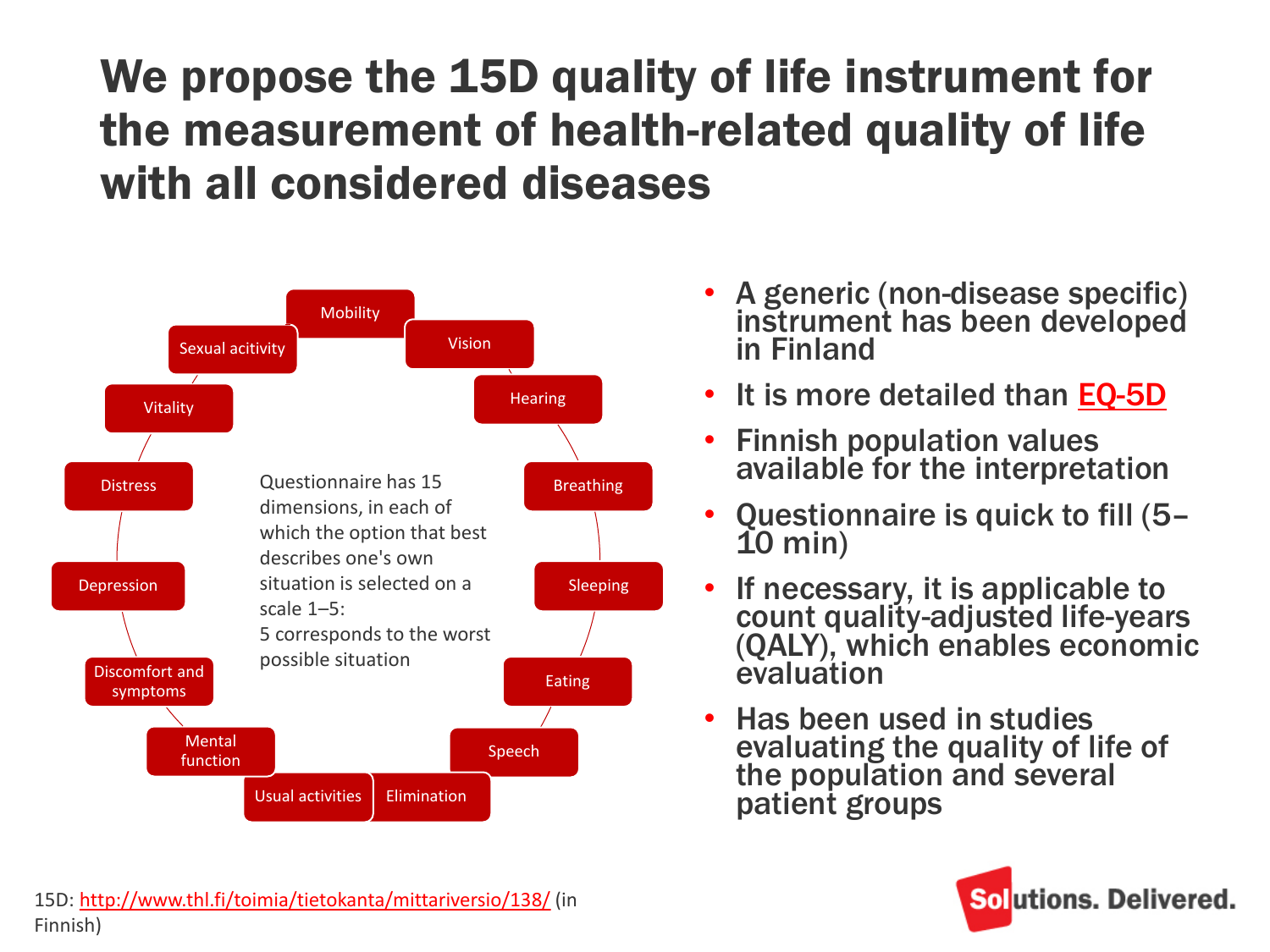#### We propose the 15D quality of life instrument for the measurement of health-related quality of life with all considered diseases

![](_page_11_Figure_1.jpeg)

- A generic (non-disease specific) instrument has been developed in Finland
- It is more detailed than [EQ-5D](http://www.thl.fi/toimia/tietokanta/mittariversio/139/)
- Finnish population values available for the interpretation
- Questionnaire is quick to fill (5– 10 min)
- If necessary, it is applicable to count quality-adjusted life-years (QALY), which enables economic evaluation
- Has been used in studies evaluating the quality of life of the population and several patient groups

![](_page_11_Picture_8.jpeg)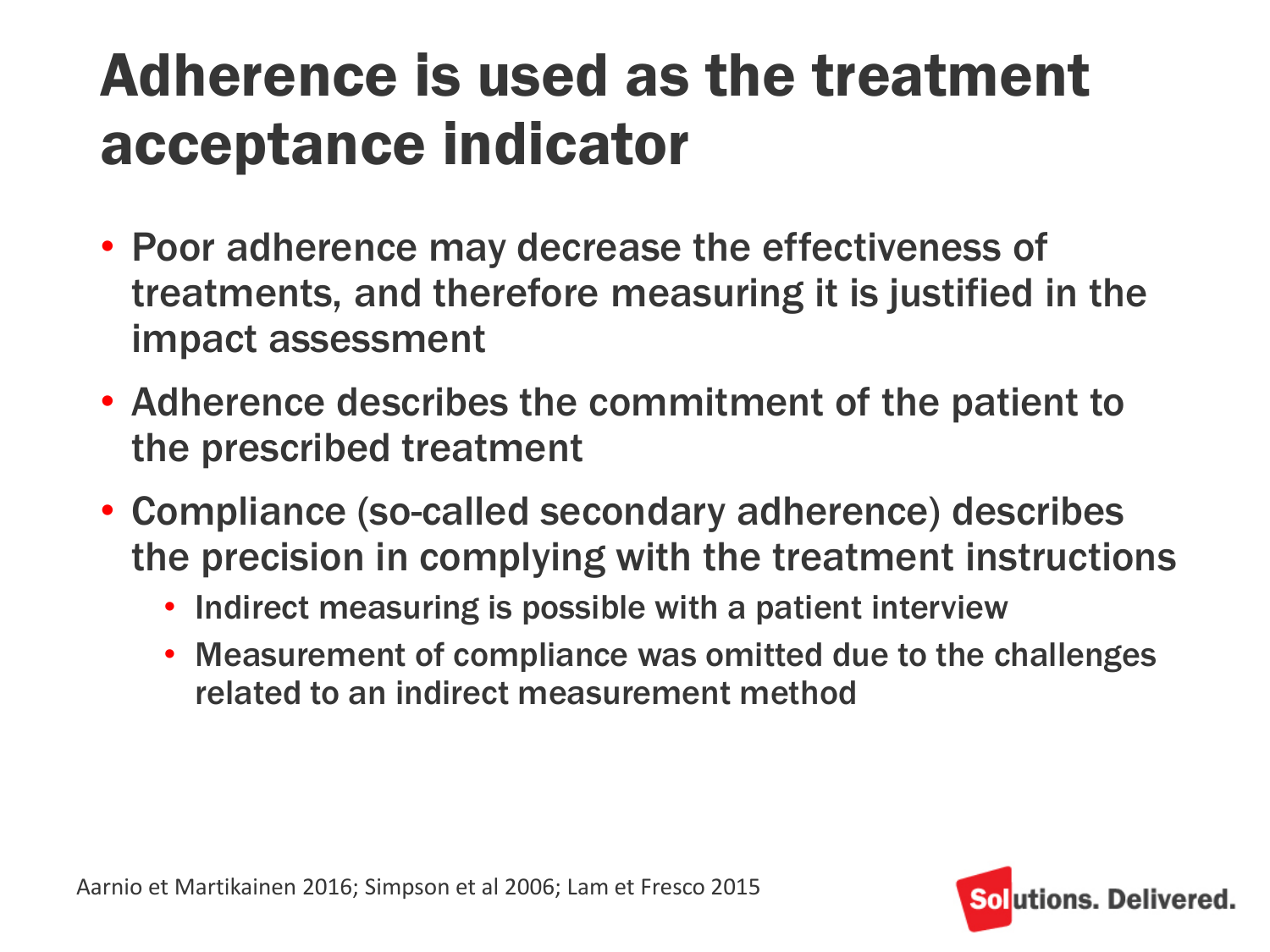#### Adherence is used as the treatment acceptance indicator

- Poor adherence may decrease the effectiveness of treatments, and therefore measuring it is justified in the impact assessment
- Adherence describes the commitment of the patient to the prescribed treatment
- Compliance (so-called secondary adherence) describes the precision in complying with the treatment instructions
	- Indirect measuring is possible with a patient interview
	- Measurement of compliance was omitted due to the challenges related to an indirect measurement method

![](_page_12_Picture_6.jpeg)

![](_page_12_Picture_7.jpeg)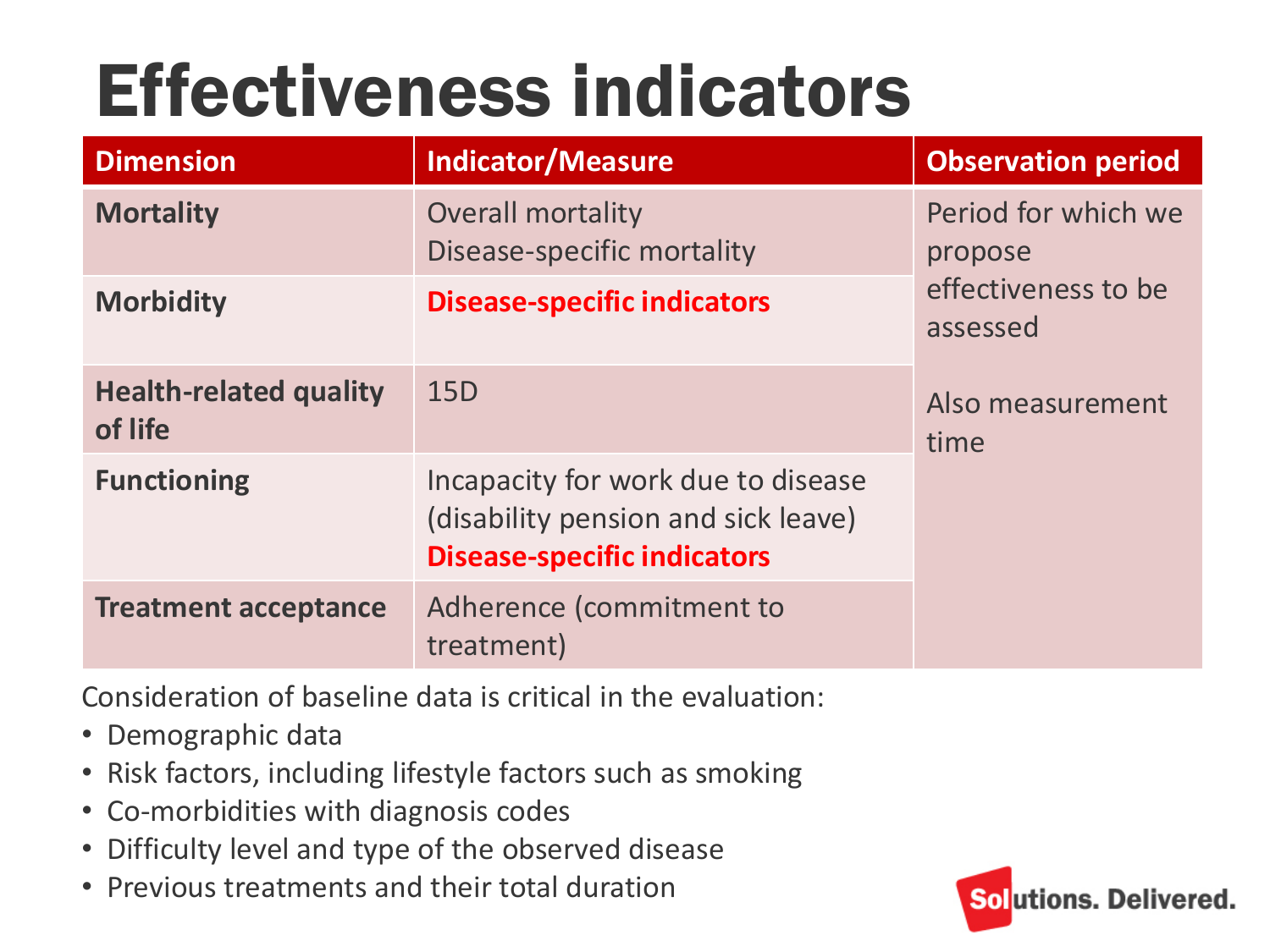### Effectiveness indicators

| <b>Dimension</b>                         | <b>Indicator/Measure</b>                                                                                        | <b>Observation period</b>       |
|------------------------------------------|-----------------------------------------------------------------------------------------------------------------|---------------------------------|
| <b>Mortality</b>                         | <b>Overall mortality</b><br>Disease-specific mortality                                                          | Period for which we<br>propose  |
| <b>Morbidity</b>                         | <b>Disease-specific indicators</b>                                                                              | effectiveness to be<br>assessed |
| <b>Health-related quality</b><br>of life | 15 <sub>D</sub>                                                                                                 | Also measurement<br>time        |
| <b>Functioning</b>                       | Incapacity for work due to disease<br>(disability pension and sick leave)<br><b>Disease-specific indicators</b> |                                 |
| <b>Treatment acceptance</b>              | Adherence (commitment to<br>treatment)                                                                          |                                 |

Consideration of baseline data is critical in the evaluation:

- Demographic data
- Risk factors, including lifestyle factors such as smoking
- Co-morbidities with diagnosis codes
- Difficulty level and type of the observed disease
- Previous treatments and their total duration

![](_page_13_Picture_8.jpeg)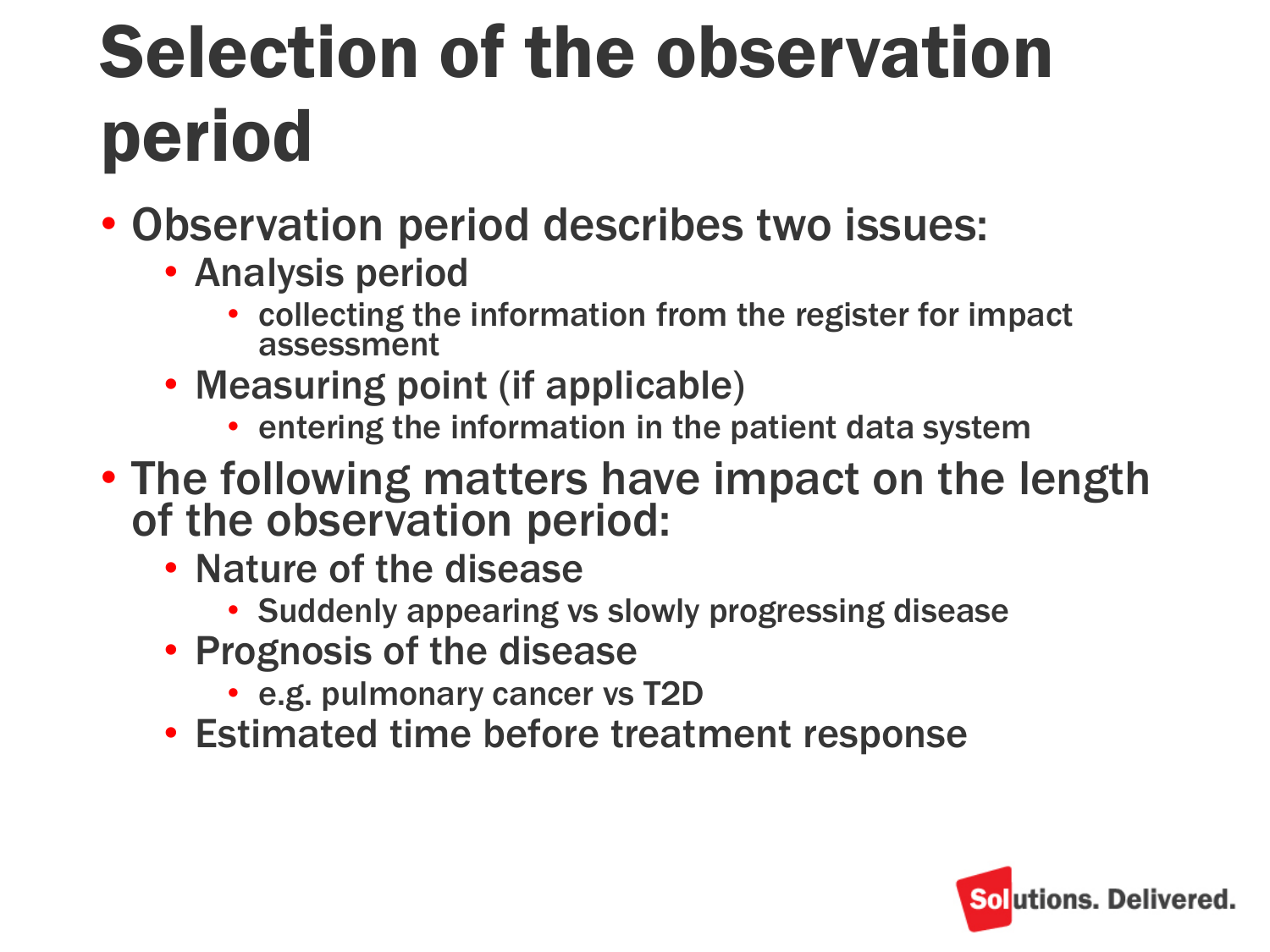### Selection of the observation period

- Observation period describes two issues:
	- Analysis period
		- collecting the information from the register for impact assessment
	- Measuring point (if applicable)
		- entering the information in the patient data system
- The following matters have impact on the length of the observation period:
	- Nature of the disease
		- Suddenly appearing vs slowly progressing disease
	- Prognosis of the disease
		- e.g. pulmonary cancer vs T2D
	- Estimated time before treatment response

![](_page_14_Picture_12.jpeg)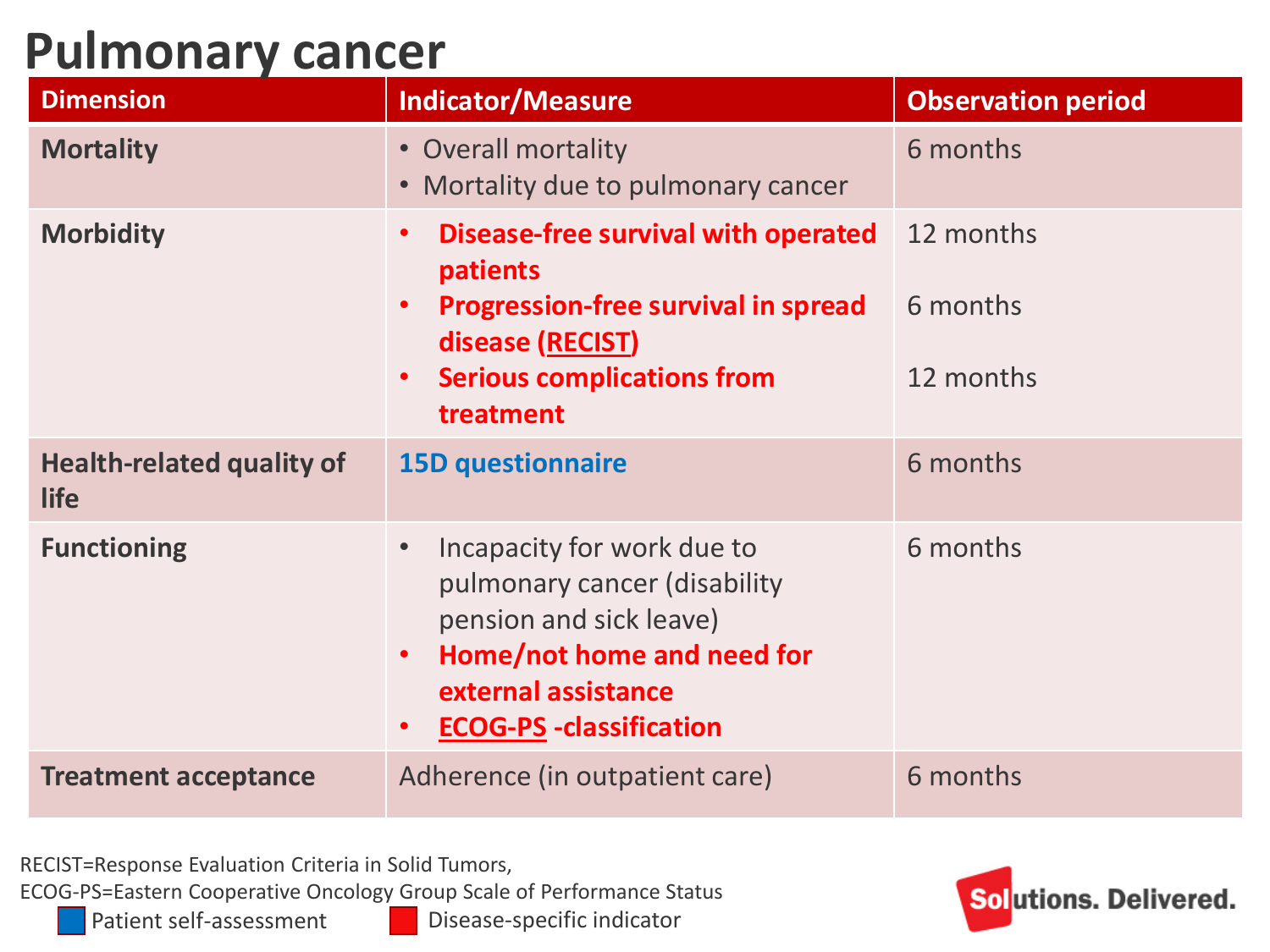#### **Pulmonary cancer**

| <b>Dimension</b>                                | <b>Indicator/Measure</b>                                                                                                                                                                                   | <b>Observation period</b>          |
|-------------------------------------------------|------------------------------------------------------------------------------------------------------------------------------------------------------------------------------------------------------------|------------------------------------|
| <b>Mortality</b>                                | • Overall mortality<br>• Mortality due to pulmonary cancer                                                                                                                                                 | 6 months                           |
| <b>Morbidity</b>                                | Disease-free survival with operated<br>$\bullet$<br>patients<br><b>Progression-free survival in spread</b><br>$\bullet$<br>disease (RECIST)<br><b>Serious complications from</b><br>$\bullet$<br>treatment | 12 months<br>6 months<br>12 months |
| <b>Health-related quality of</b><br><b>life</b> | <b>15D questionnaire</b>                                                                                                                                                                                   | 6 months                           |
| <b>Functioning</b>                              | Incapacity for work due to<br>pulmonary cancer (disability<br>pension and sick leave)<br>Home/not home and need for<br>$\bullet$<br>external assistance<br><b>ECOG-PS - classification</b><br>$\bullet$    | 6 months                           |
| <b>Treatment acceptance</b>                     | Adherence (in outpatient care)                                                                                                                                                                             | 6 months                           |

RECIST=Response Evaluation Criteria in Solid Tumors,

ECOG-PS=Eastern Cooperative Oncology Group Scale of Performance Status

Patient self-assessment Disease-specific indicator

![](_page_15_Picture_5.jpeg)

Solutions. Delivered.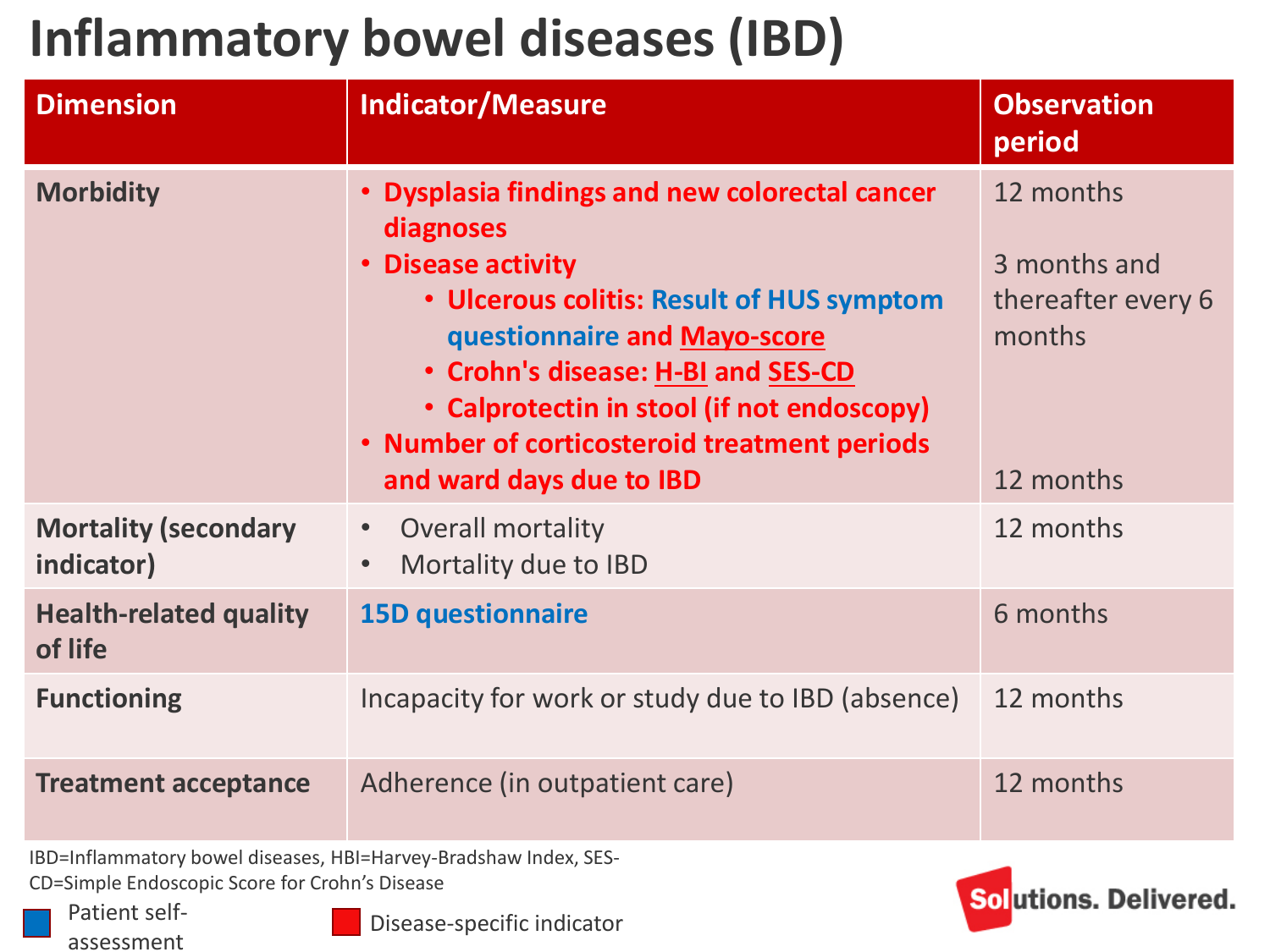#### **Inflammatory bowel diseases (IBD)**

| <b>Dimension</b>                          | <b>Indicator/Measure</b>                                                                                                                                                                                                                                                                              | <b>Observation</b><br>period                              |
|-------------------------------------------|-------------------------------------------------------------------------------------------------------------------------------------------------------------------------------------------------------------------------------------------------------------------------------------------------------|-----------------------------------------------------------|
| <b>Morbidity</b>                          | Dysplasia findings and new colorectal cancer<br>diagnoses<br><b>Disease activity</b><br>• Ulcerous colitis: Result of HUS symptom<br>questionnaire and Mayo-score<br>• Crohn's disease: H-BI and SES-CD<br>• Calprotectin in stool (if not endoscopy)<br>. Number of corticosteroid treatment periods | 12 months<br>3 months and<br>thereafter every 6<br>months |
|                                           | and ward days due to IBD                                                                                                                                                                                                                                                                              | 12 months                                                 |
| <b>Mortality (secondary</b><br>indicator) | Overall mortality<br>Mortality due to IBD                                                                                                                                                                                                                                                             | 12 months                                                 |
| <b>Health-related quality</b><br>of life  | <b>15D questionnaire</b>                                                                                                                                                                                                                                                                              | 6 months                                                  |
| <b>Functioning</b>                        | Incapacity for work or study due to IBD (absence)                                                                                                                                                                                                                                                     | 12 months                                                 |
| <b>Treatment acceptance</b>               | Adherence (in outpatient care)                                                                                                                                                                                                                                                                        | 12 months                                                 |

IBD=Inflammatory bowel diseases, HBI=Harvey-Bradshaw Index, SES-CD=Simple Endoscopic Score for Crohn's Disease

Patient selfassessment

![](_page_16_Picture_4.jpeg)

Disease-specific indicator

![](_page_16_Picture_6.jpeg)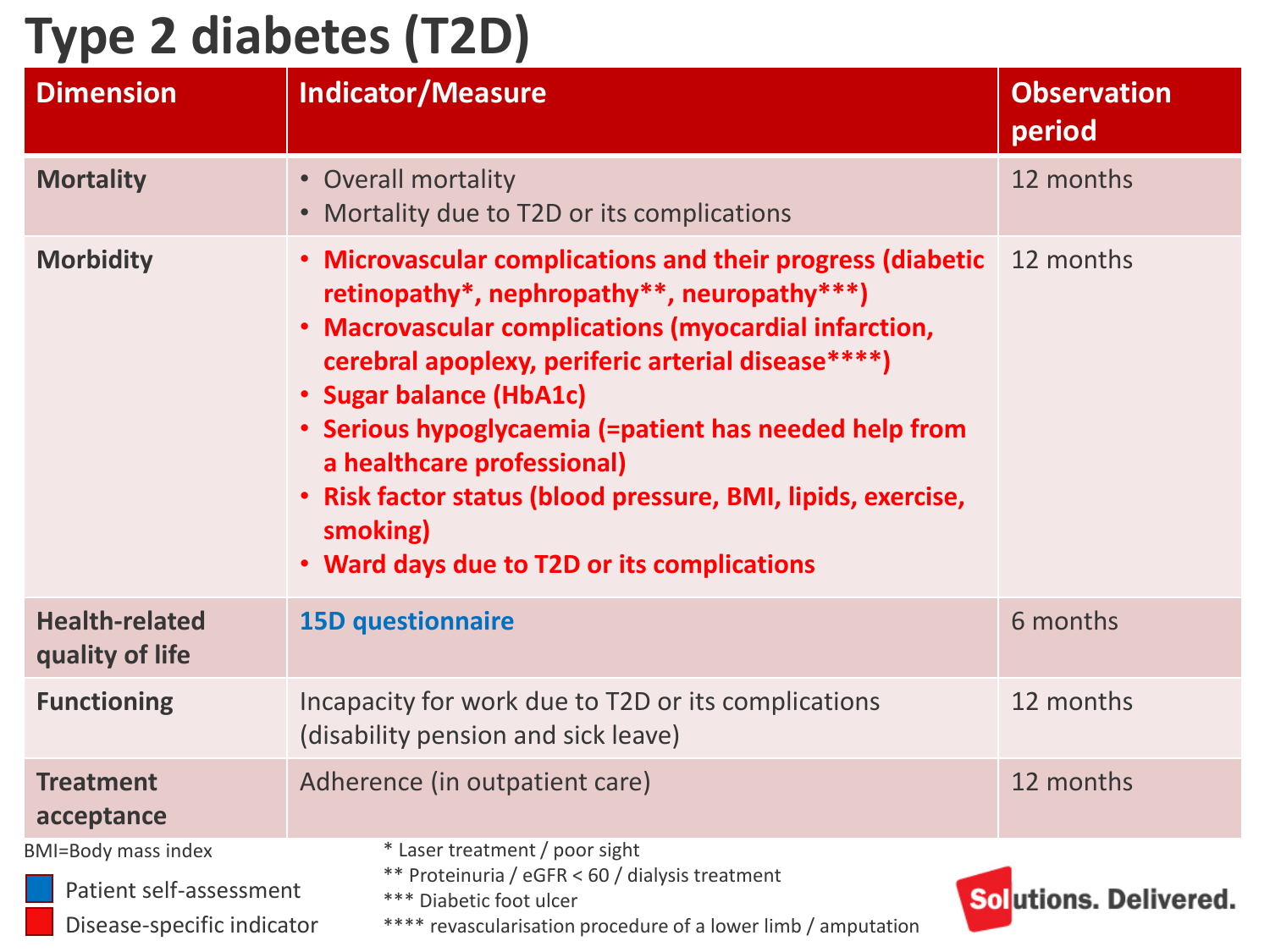#### **Type 2 diabetes (T2D)**

| <b>Dimension</b>                                                                    | <b>Indicator/Measure</b>                                                                                                                                                                                                                                                                                                                                                                                                                                               | <b>Observation</b><br>period |
|-------------------------------------------------------------------------------------|------------------------------------------------------------------------------------------------------------------------------------------------------------------------------------------------------------------------------------------------------------------------------------------------------------------------------------------------------------------------------------------------------------------------------------------------------------------------|------------------------------|
| <b>Mortality</b>                                                                    | • Overall mortality<br>• Mortality due to T2D or its complications                                                                                                                                                                                                                                                                                                                                                                                                     | 12 months                    |
| <b>Morbidity</b>                                                                    | • Microvascular complications and their progress (diabetic<br>retinopathy*, nephropathy**, neuropathy***)<br>• Macrovascular complications (myocardial infarction,<br>cerebral apoplexy, periferic arterial disease****)<br>• Sugar balance (HbA1c)<br>• Serious hypoglycaemia (=patient has needed help from<br>a healthcare professional)<br>• Risk factor status (blood pressure, BMI, lipids, exercise,<br>smoking)<br>• Ward days due to T2D or its complications | 12 months                    |
| <b>Health-related</b><br>quality of life                                            | <b>15D questionnaire</b>                                                                                                                                                                                                                                                                                                                                                                                                                                               | 6 months                     |
| <b>Functioning</b>                                                                  | Incapacity for work due to T2D or its complications<br>(disability pension and sick leave)                                                                                                                                                                                                                                                                                                                                                                             |                              |
| <b>Treatment</b><br>acceptance                                                      | Adherence (in outpatient care)                                                                                                                                                                                                                                                                                                                                                                                                                                         | 12 months                    |
| <b>BMI=Body mass index</b><br>Patient self-assessment<br>Disease-specific indicator | * Laser treatment / poor sight<br>** Proteinuria / eGFR < 60 / dialysis treatment<br>*** Diabetic foot ulcer<br>**** revascularisation procedure of a lower limb / amputation                                                                                                                                                                                                                                                                                          | Solutions. Delivered.        |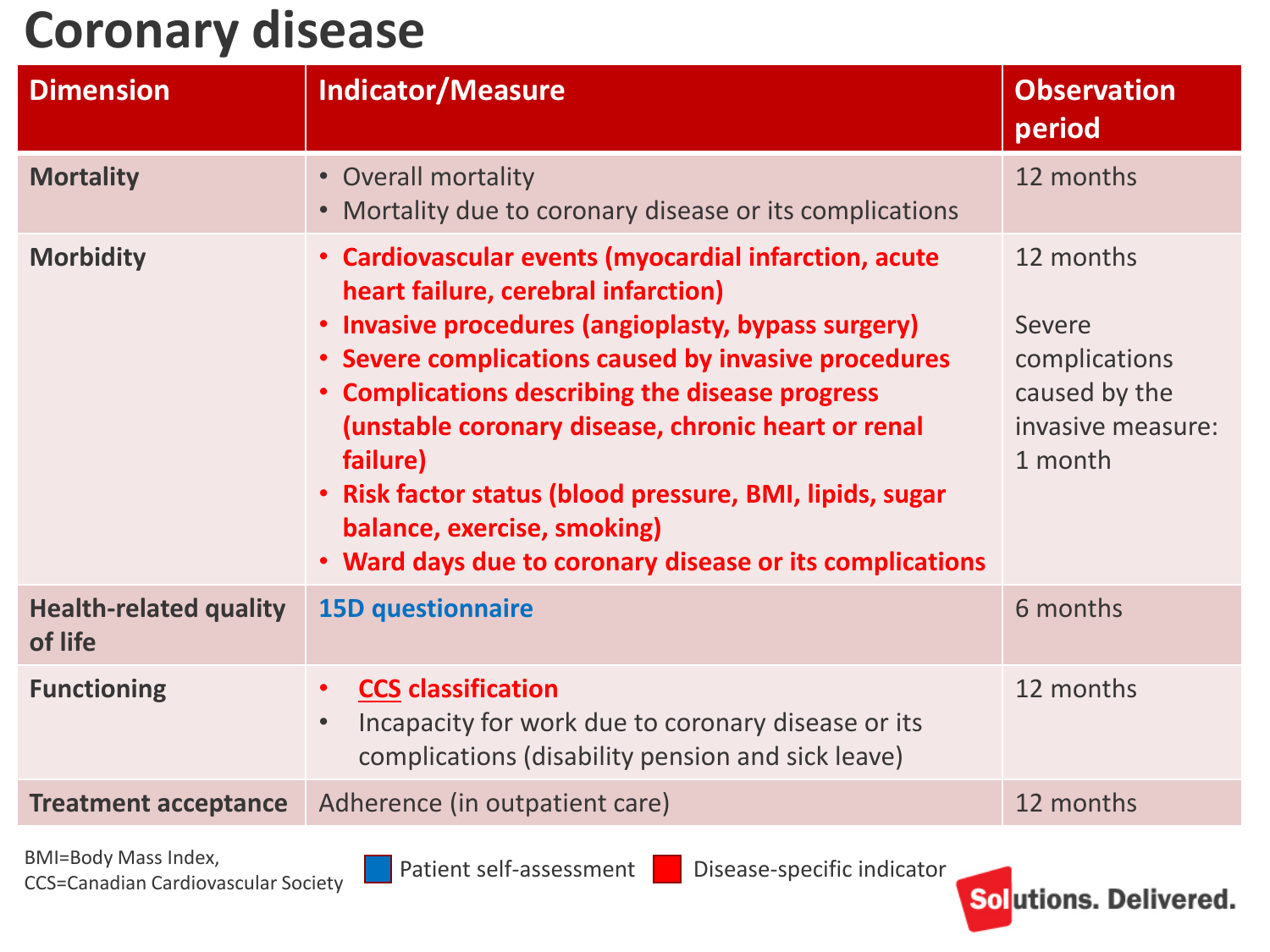#### **Coronary disease**

| <b>Dimension</b>                         | <b>Indicator/Measure</b>                                                                                                                                                                                                                                                                                                                                                                                                                                                                           | <b>Observation</b><br>period                                                          |
|------------------------------------------|----------------------------------------------------------------------------------------------------------------------------------------------------------------------------------------------------------------------------------------------------------------------------------------------------------------------------------------------------------------------------------------------------------------------------------------------------------------------------------------------------|---------------------------------------------------------------------------------------|
| <b>Mortality</b>                         | • Overall mortality<br>• Mortality due to coronary disease or its complications                                                                                                                                                                                                                                                                                                                                                                                                                    | 12 months                                                                             |
| <b>Morbidity</b>                         | • Cardiovascular events (myocardial infarction, acute<br>heart failure, cerebral infarction)<br>Invasive procedures (angioplasty, bypass surgery)<br>$\bullet$<br>• Severe complications caused by invasive procedures<br>• Complications describing the disease progress<br>(unstable coronary disease, chronic heart or renal<br>failure)<br>• Risk factor status (blood pressure, BMI, lipids, sugar<br>balance, exercise, smoking)<br>• Ward days due to coronary disease or its complications | 12 months<br>Severe<br>complications<br>caused by the<br>invasive measure:<br>1 month |
| <b>Health-related quality</b><br>of life | <b>15D questionnaire</b>                                                                                                                                                                                                                                                                                                                                                                                                                                                                           | 6 months                                                                              |
| <b>Functioning</b>                       | <b>CCS classification</b><br>$\bullet$<br>Incapacity for work due to coronary disease or its<br>$\bullet$<br>complications (disability pension and sick leave)                                                                                                                                                                                                                                                                                                                                     | 12 months                                                                             |
| <b>Treatment acceptance</b>              | Adherence (in outpatient care)                                                                                                                                                                                                                                                                                                                                                                                                                                                                     | 12 months                                                                             |
|                                          |                                                                                                                                                                                                                                                                                                                                                                                                                                                                                                    |                                                                                       |

BMI=Body Mass Index,<br>CCS=Canadian Cardiovascular Society Department Self-assessment Disease-specific indicator

![](_page_18_Picture_6.jpeg)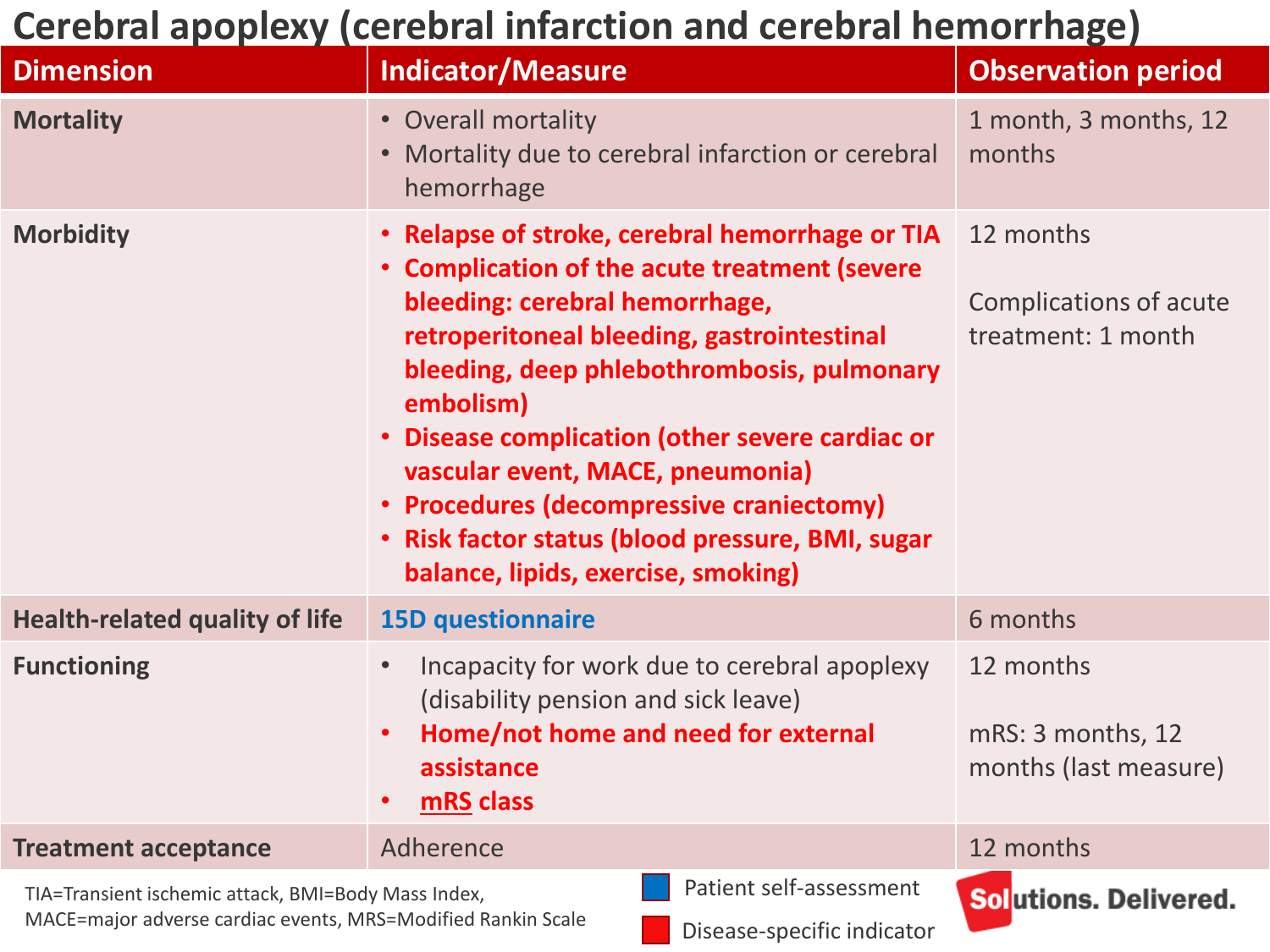#### **Cerebral apoplexy (cerebral infarction and cerebral hemorrhage)**

| <b>Dimension</b>                                                                                                    | <b>Indicator/Measure</b>                                                                                                                                                                                                                                                                                                                                                                                                                                                             | <b>Observation period</b>                                        |
|---------------------------------------------------------------------------------------------------------------------|--------------------------------------------------------------------------------------------------------------------------------------------------------------------------------------------------------------------------------------------------------------------------------------------------------------------------------------------------------------------------------------------------------------------------------------------------------------------------------------|------------------------------------------------------------------|
| <b>Mortality</b>                                                                                                    | • Overall mortality<br>• Mortality due to cerebral infarction or cerebral<br>hemorrhage                                                                                                                                                                                                                                                                                                                                                                                              | 1 month, 3 months, 12<br>months                                  |
| <b>Morbidity</b>                                                                                                    | . Relapse of stroke, cerebral hemorrhage or TIA<br>• Complication of the acute treatment (severe<br>bleeding: cerebral hemorrhage,<br>retroperitoneal bleeding, gastrointestinal<br>bleeding, deep phlebothrombosis, pulmonary<br>embolism)<br>Disease complication (other severe cardiac or<br>$\bullet$<br>vascular event, MACE, pneumonia)<br>• Procedures (decompressive craniectomy)<br>· Risk factor status (blood pressure, BMI, sugar<br>balance, lipids, exercise, smoking) | 12 months<br><b>Complications of acute</b><br>treatment: 1 month |
| <b>Health-related quality of life</b>                                                                               | <b>15D questionnaire</b>                                                                                                                                                                                                                                                                                                                                                                                                                                                             | 6 months                                                         |
| <b>Functioning</b>                                                                                                  | Incapacity for work due to cerebral apoplexy<br>$\bullet$<br>(disability pension and sick leave)<br>Home/not home and need for external<br>$\bullet$<br>assistance<br>mRS class                                                                                                                                                                                                                                                                                                      | 12 months<br>mRS: 3 months, 12<br>months (last measure)          |
| <b>Treatment acceptance</b>                                                                                         | Adherence                                                                                                                                                                                                                                                                                                                                                                                                                                                                            | 12 months                                                        |
| TIA=Transient ischemic attack, BMI=Body Mass Index,<br>MACE=major adverse cardiac events, MRS=Modified Rankin Scale | Patient self-assessment<br>Disease-specific indicator                                                                                                                                                                                                                                                                                                                                                                                                                                | Solutions. Delivered.                                            |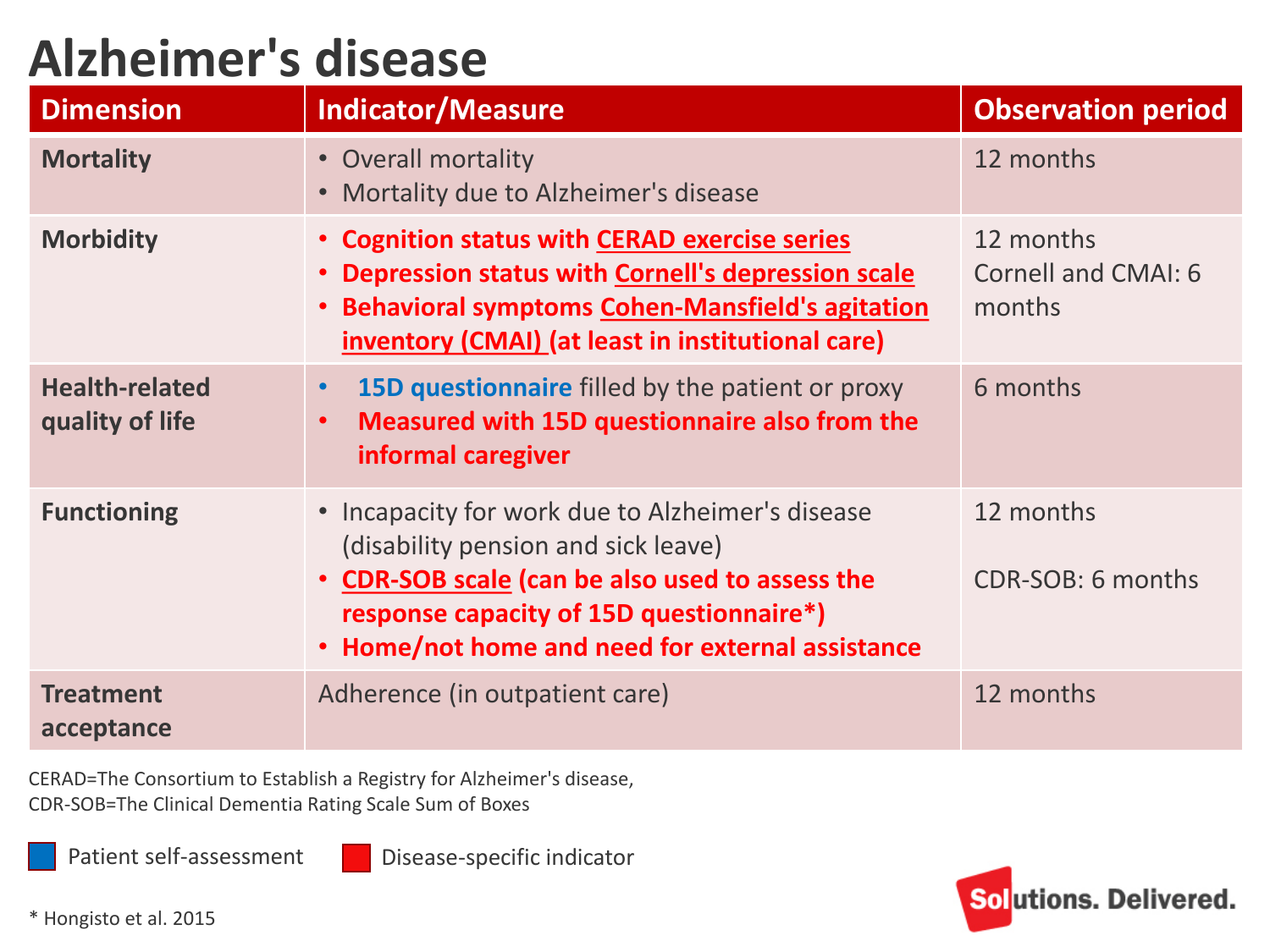#### **Alzheimer's disease**

| <b>Dimension</b>                         | <b>Indicator/Measure</b>                                                                                                                                                                                                                 | <b>Observation period</b>                         |
|------------------------------------------|------------------------------------------------------------------------------------------------------------------------------------------------------------------------------------------------------------------------------------------|---------------------------------------------------|
| <b>Mortality</b>                         | • Overall mortality<br>• Mortality due to Alzheimer's disease                                                                                                                                                                            | 12 months                                         |
| <b>Morbidity</b>                         | • Cognition status with CERAD exercise series<br>Depression status with Cornell's depression scale<br><b>Behavioral symptoms Cohen-Mansfield's agitation</b><br>$\bullet$<br>inventory (CMAI) (at least in institutional care)           | 12 months<br><b>Cornell and CMAI: 6</b><br>months |
| <b>Health-related</b><br>quality of life | <b>15D questionnaire</b> filled by the patient or proxy<br>Measured with 15D questionnaire also from the<br>informal caregiver                                                                                                           | 6 months                                          |
| <b>Functioning</b>                       | • Incapacity for work due to Alzheimer's disease<br>(disability pension and sick leave)<br>• CDR-SOB scale (can be also used to assess the<br>response capacity of 15D questionnaire*)<br>Home/not home and need for external assistance | 12 months<br>CDR-SOB: 6 months                    |
| <b>Treatment</b><br>acceptance           | Adherence (in outpatient care)                                                                                                                                                                                                           | 12 months                                         |

CERAD=The Consortium to Establish a Registry for Alzheimer's disease, CDR-SOB=The Clinical Dementia Rating Scale Sum of Boxes

Patient self-assessment

Disease-specific indicator

![](_page_20_Picture_5.jpeg)

\* Hongisto et al. 2015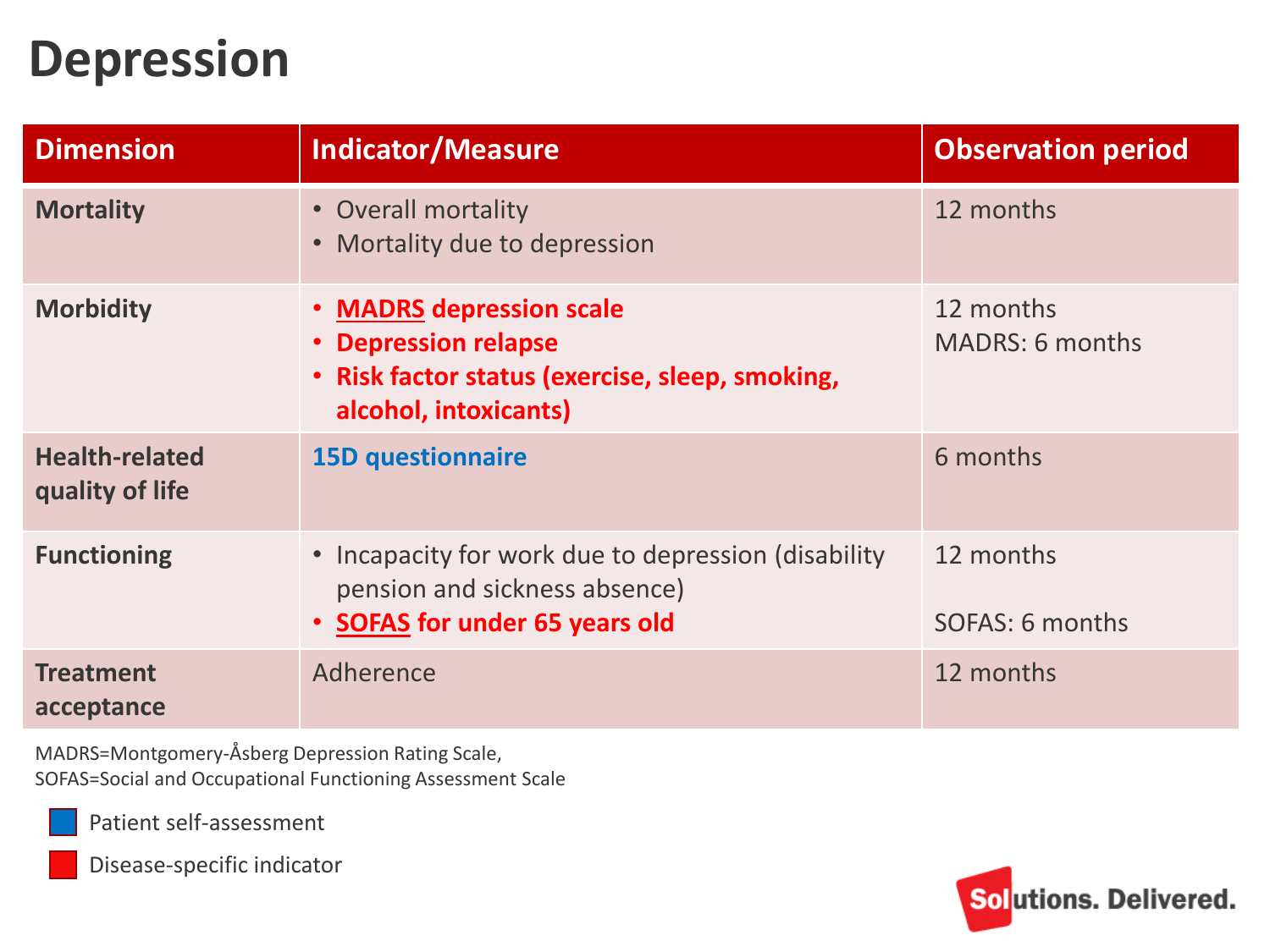#### **Depression**

| <b>Dimension</b>                         | <b>Indicator/Measure</b>                                                                                                     | <b>Observation period</b>           |
|------------------------------------------|------------------------------------------------------------------------------------------------------------------------------|-------------------------------------|
| <b>Mortality</b>                         | • Overall mortality<br>• Mortality due to depression                                                                         | 12 months                           |
| <b>Morbidity</b>                         | • MADRS depression scale<br>• Depression relapse<br>• Risk factor status (exercise, sleep, smoking,<br>alcohol, intoxicants) | 12 months<br><b>MADRS: 6 months</b> |
| <b>Health-related</b><br>quality of life | <b>15D questionnaire</b>                                                                                                     | 6 months                            |
| <b>Functioning</b>                       | • Incapacity for work due to depression (disability<br>pension and sickness absence)<br>• SOFAS for under 65 years old       | 12 months<br>SOFAS: 6 months        |
| <b>Treatment</b><br>acceptance           | Adherence                                                                                                                    | 12 months                           |

MADRS=Montgomery-Åsberg Depression Rating Scale, SOFAS=Social and Occupational Functioning Assessment Scale

![](_page_21_Picture_3.jpeg)

Patient self-assessment

![](_page_21_Picture_5.jpeg)

Disease-specific indicator

![](_page_21_Picture_7.jpeg)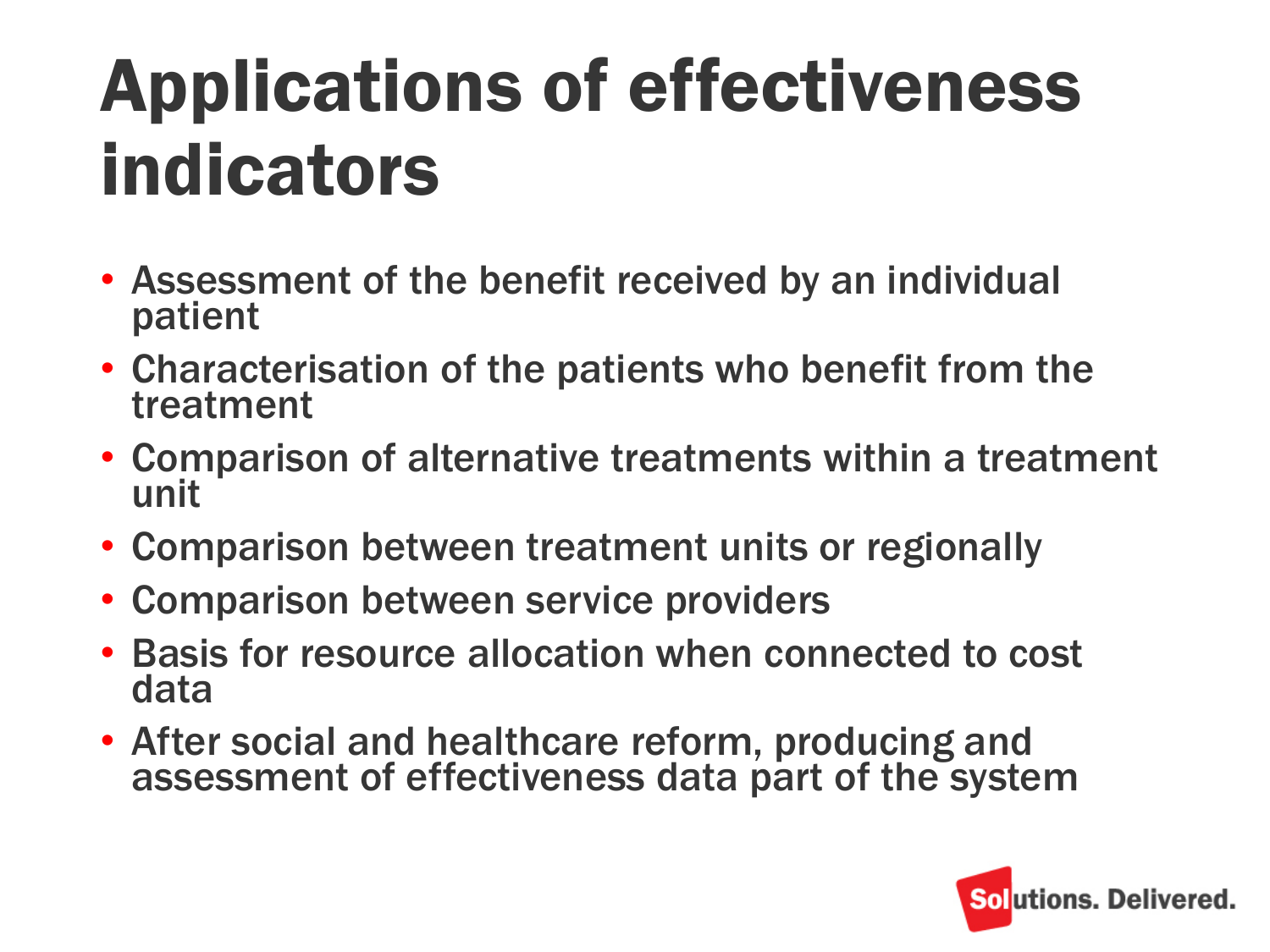## Applications of effectiveness indicators

- Assessment of the benefit received by an individual patient
- Characterisation of the patients who benefit from the treatment
- Comparison of alternative treatments within a treatment unit
- Comparison between treatment units or regionally
- Comparison between service providers
- Basis for resource allocation when connected to cost data
- After social and healthcare reform, producing and assessment of effectiveness data part of the system

![](_page_22_Picture_8.jpeg)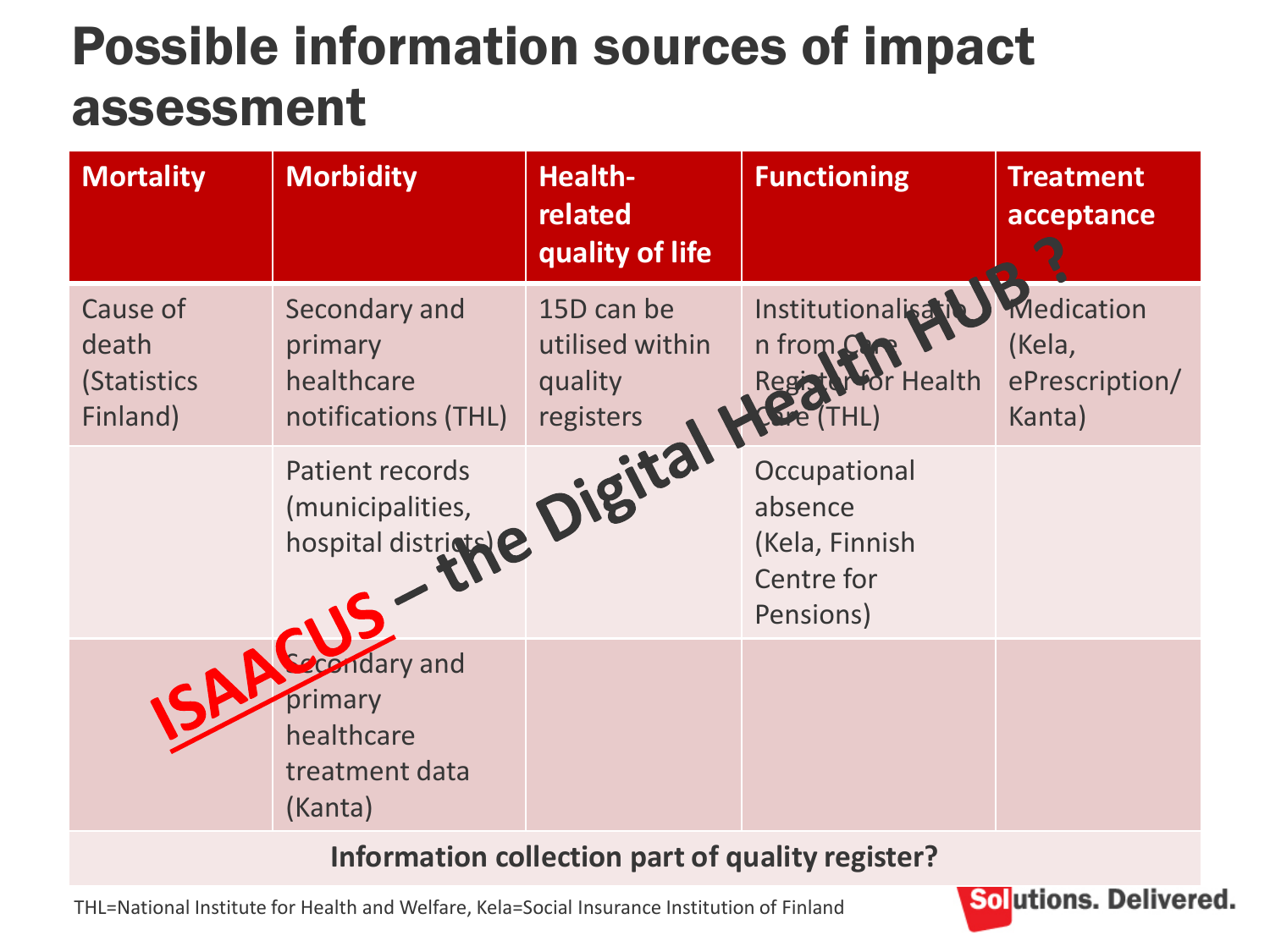#### Possible information sources of impact assessment

| <b>Mortality</b>                                    | <b>Morbidity</b>                                                 | <b>Health-</b><br>related<br>quality of life          | <b>Functioning</b>                                                   | <b>Treatment</b><br>acceptance                   |
|-----------------------------------------------------|------------------------------------------------------------------|-------------------------------------------------------|----------------------------------------------------------------------|--------------------------------------------------|
| Cause of<br>death<br><b>(Statistics</b><br>Finland) | Secondary and<br>primary<br>healthcare<br>notifications (THL)    | 15D can be<br>utilised within<br>quality<br>registers | Institutionalisat<br>n from<br>or Health<br>Regis                    | Medication<br>(Kela,<br>ePrescription/<br>Kanta) |
|                                                     | Patient records<br>(municipalities,<br>hospital districts        | Digital                                               | Occupational<br>absence<br>(Kela, Finnish<br>Centre for<br>Pensions) |                                                  |
|                                                     | andary and<br>primary<br>healthcare<br>treatment data<br>(Kanta) |                                                       |                                                                      |                                                  |

**Information collection part of quality register?**

THL=National Institute for Health and Welfare, Kela=Social Insurance Institution of Finland

![](_page_23_Picture_4.jpeg)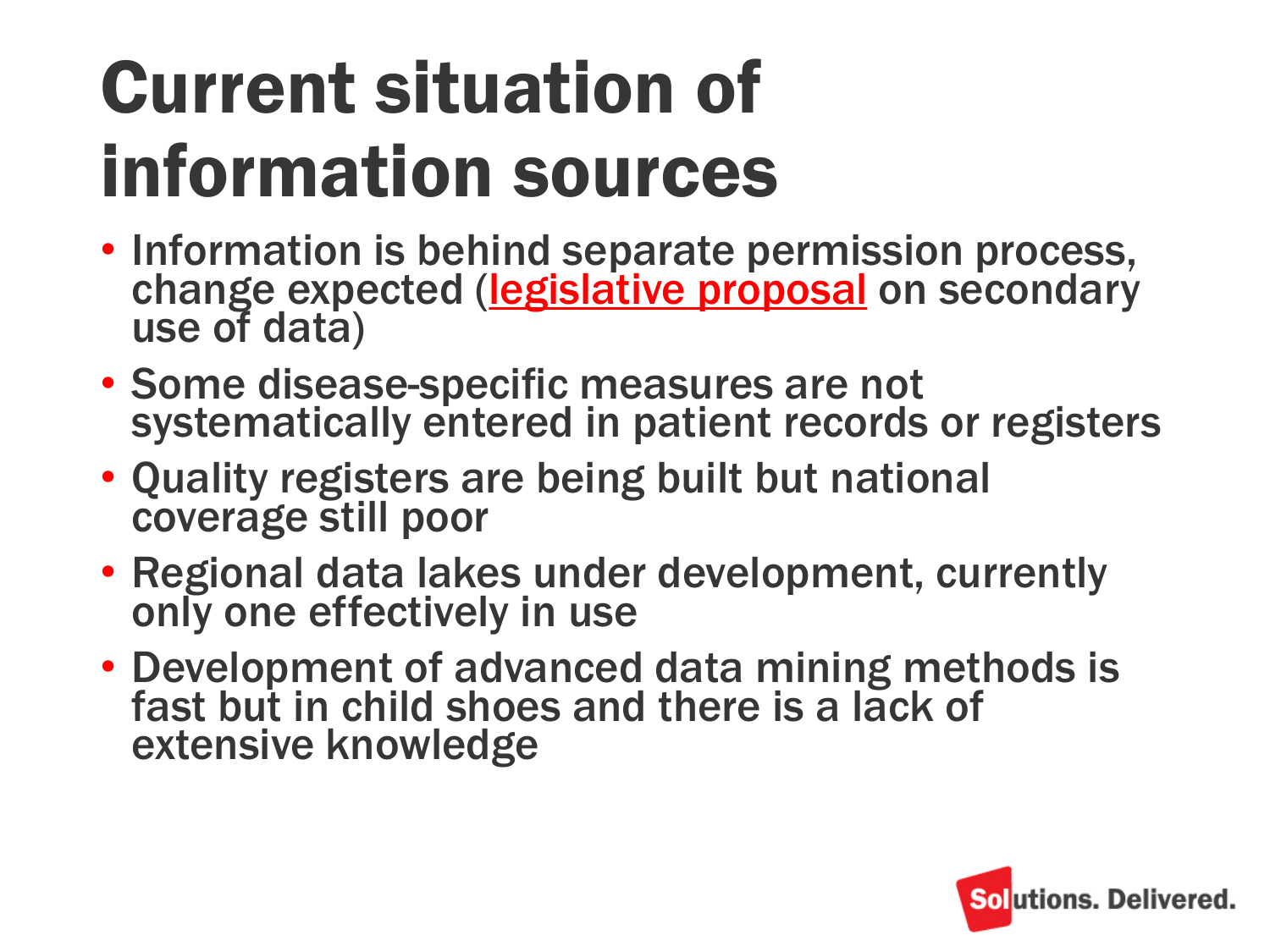### Current situation of information sources

- Information is behind separate permission process, change expected [\(legislative proposal](http://stm.fi/sote-tiedon-hyodyntaminen) on secondary use of data)
- Some disease-specific measures are not systematically entered in patient records or registers
- Quality registers are being built but national coverage still poor
- Regional data lakes under development, currently only one effectively in use
- Development of advanced data mining methods is fast but in child shoes and there is a lack of extensive knowledge

![](_page_24_Picture_6.jpeg)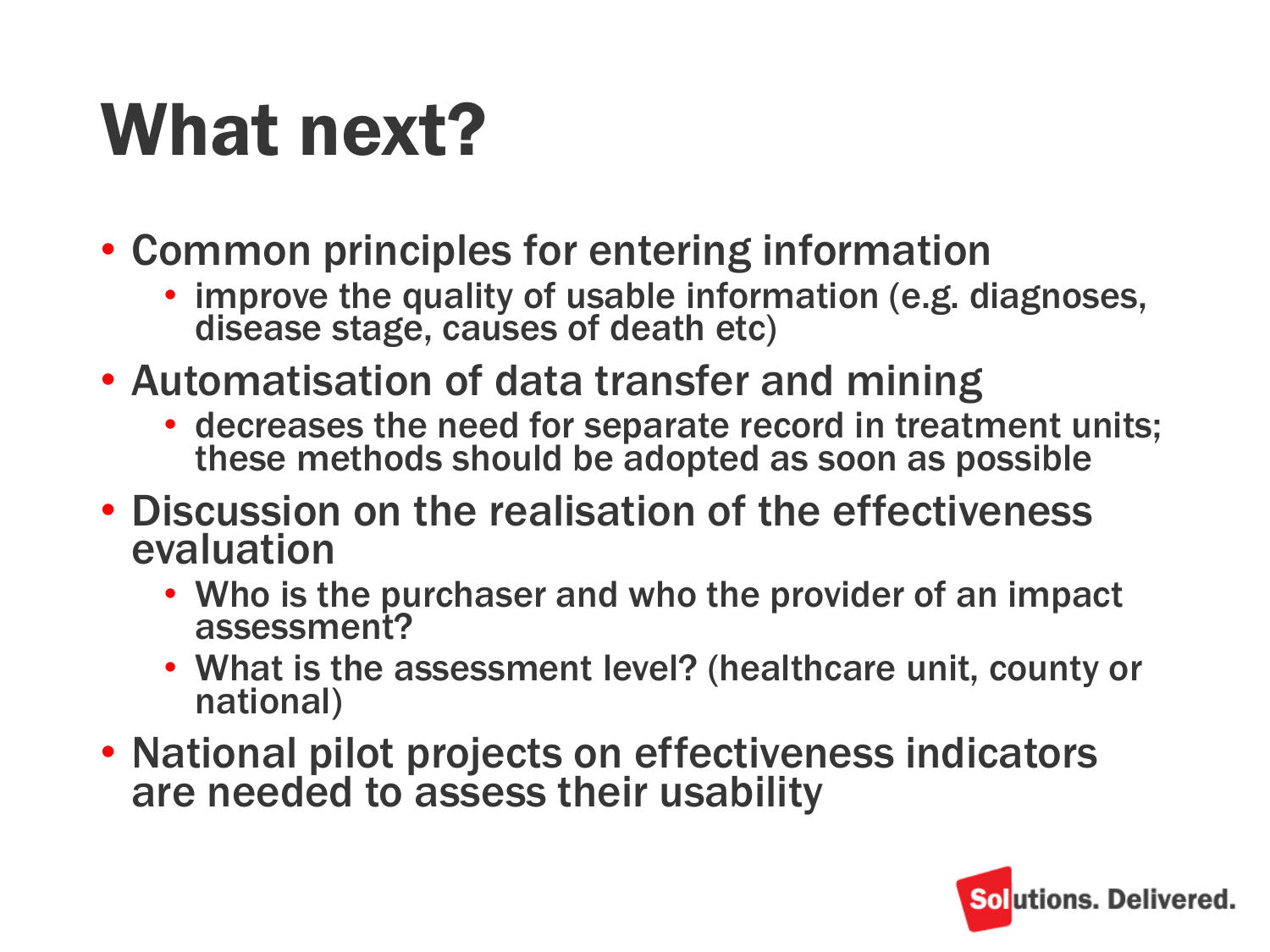### What next?

- Common principles for entering information
	- improve the quality of usable information (e.g. diagnoses, disease stage, causes of death etc)
- Automatisation of data transfer and mining
	- decreases the need for separate record in treatment units; these methods should be adopted as soon as possible
- Discussion on the realisation of the effectiveness evaluation
	- Who is the purchaser and who the provider of an impact assessment?
	- What is the assessment level? (healthcare unit, county or national)
- National pilot projects on effectiveness indicators are needed to assess their usability

![](_page_25_Picture_9.jpeg)